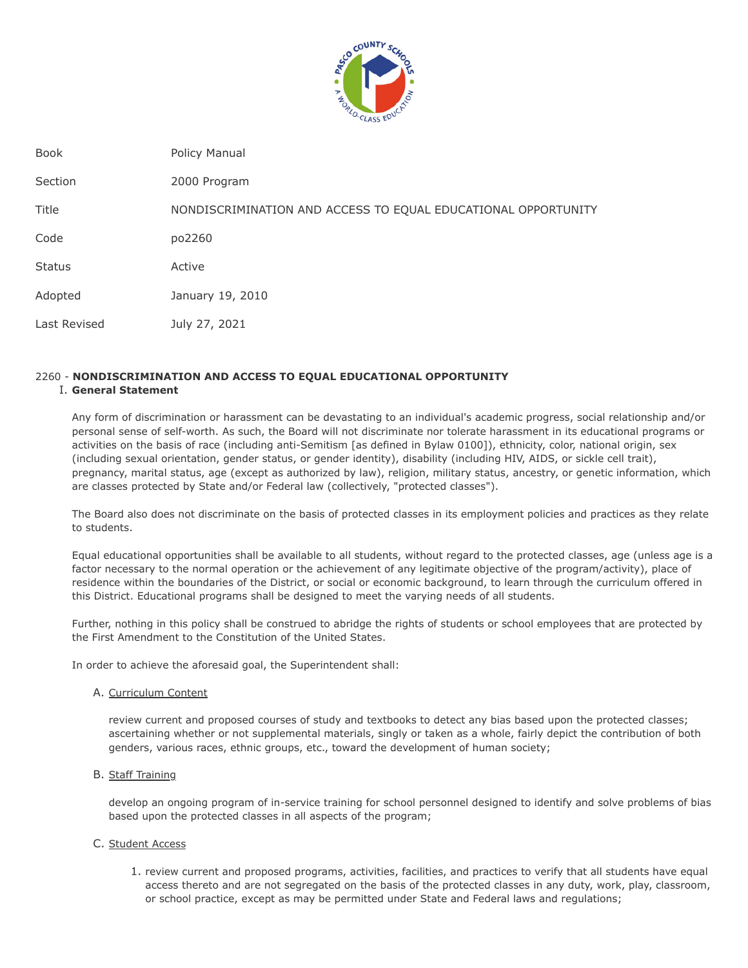

Book **Policy Manual** Section 2000 Program Title NONDISCRIMINATION AND ACCESS TO EQUAL EDUCATIONAL OPPORTUNITY Code po2260 Status Active Adopted January 19, 2010 Last Revised July 27, 2021

# 2260 - **NONDISCRIMINATION AND ACCESS TO EQUAL EDUCATIONAL OPPORTUNITY**

# I. **General Statement**

Any form of discrimination or harassment can be devastating to an individual's academic progress, social relationship and/or personal sense of self-worth. As such, the Board will not discriminate nor tolerate harassment in its educational programs or activities on the basis of race (including anti-Semitism [as defined in Bylaw 0100]), ethnicity, color, national origin, sex (including sexual orientation, gender status, or gender identity), disability (including HIV, AIDS, or sickle cell trait), pregnancy, marital status, age (except as authorized by law), religion, military status, ancestry, or genetic information, which are classes protected by State and/or Federal law (collectively, "protected classes").

The Board also does not discriminate on the basis of protected classes in its employment policies and practices as they relate to students.

Equal educational opportunities shall be available to all students, without regard to the protected classes, age (unless age is a factor necessary to the normal operation or the achievement of any legitimate objective of the program/activity), place of residence within the boundaries of the District, or social or economic background, to learn through the curriculum offered in this District. Educational programs shall be designed to meet the varying needs of all students.

Further, nothing in this policy shall be construed to abridge the rights of students or school employees that are protected by the First Amendment to the Constitution of the United States.

In order to achieve the aforesaid goal, the Superintendent shall:

## A. Curriculum Content

review current and proposed courses of study and textbooks to detect any bias based upon the protected classes; ascertaining whether or not supplemental materials, singly or taken as a whole, fairly depict the contribution of both genders, various races, ethnic groups, etc., toward the development of human society;

B. Staff Training

develop an ongoing program of in-service training for school personnel designed to identify and solve problems of bias based upon the protected classes in all aspects of the program;

## C. Student Access

1. review current and proposed programs, activities, facilities, and practices to verify that all students have equal access thereto and are not segregated on the basis of the protected classes in any duty, work, play, classroom, or school practice, except as may be permitted under State and Federal laws and regulations;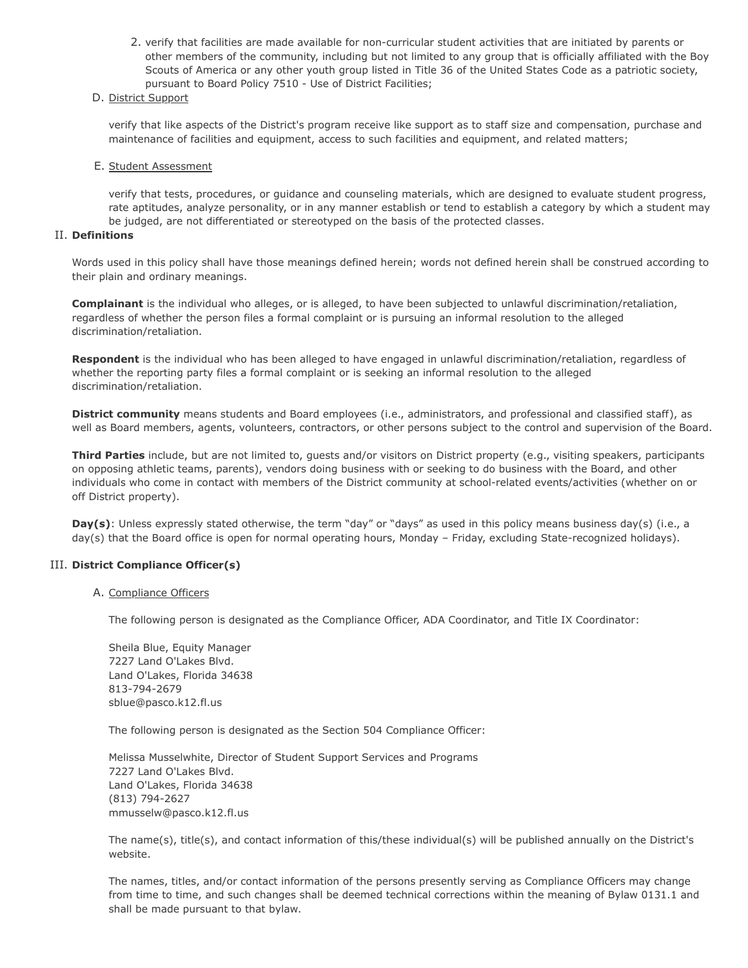2. verify that facilities are made available for non-curricular student activities that are initiated by parents or other members of the community, including but not limited to any group that is officially affiliated with the Boy Scouts of America or any other youth group listed in Title 36 of the United States Code as a patriotic society, pursuant to Board Policy 7510 - Use of District Facilities;

## D. District Support

verify that like aspects of the District's program receive like support as to staff size and compensation, purchase and maintenance of facilities and equipment, access to such facilities and equipment, and related matters;

### E. Student Assessment

verify that tests, procedures, or guidance and counseling materials, which are designed to evaluate student progress, rate aptitudes, analyze personality, or in any manner establish or tend to establish a category by which a student may be judged, are not differentiated or stereotyped on the basis of the protected classes.

### II. **Definitions**

Words used in this policy shall have those meanings defined herein; words not defined herein shall be construed according to their plain and ordinary meanings.

**Complainant** is the individual who alleges, or is alleged, to have been subjected to unlawful discrimination/retaliation, regardless of whether the person files a formal complaint or is pursuing an informal resolution to the alleged discrimination/retaliation.

**Respondent** is the individual who has been alleged to have engaged in unlawful discrimination/retaliation, regardless of whether the reporting party files a formal complaint or is seeking an informal resolution to the alleged discrimination/retaliation.

**District community** means students and Board employees (i.e., administrators, and professional and classified staff), as well as Board members, agents, volunteers, contractors, or other persons subject to the control and supervision of the Board.

**Third Parties** include, but are not limited to, guests and/or visitors on District property (e.g., visiting speakers, participants on opposing athletic teams, parents), vendors doing business with or seeking to do business with the Board, and other individuals who come in contact with members of the District community at school-related events/activities (whether on or off District property).

**Day(s)**: Unless expressly stated otherwise, the term "day" or "days" as used in this policy means business day(s) (i.e., a day(s) that the Board office is open for normal operating hours, Monday – Friday, excluding State-recognized holidays).

## III. **District Compliance Officer(s)**

## A. Compliance Officers

The following person is designated as the Compliance Officer, ADA Coordinator, and Title IX Coordinator:

Sheila Blue, Equity Manager 7227 Land O'Lakes Blvd. Land O'Lakes, Florida 34638 813-794-2679 sblue@pasco.k12.fl.us

The following person is designated as the Section 504 Compliance Officer:

Melissa Musselwhite, Director of Student Support Services and Programs 7227 Land O'Lakes Blvd. Land O'Lakes, Florida 34638 (813) 794-2627 mmusselw@pasco.k12.fl.us

The name(s), title(s), and contact information of this/these individual(s) will be published annually on the District's website.

The names, titles, and/or contact information of the persons presently serving as Compliance Officers may change from time to time, and such changes shall be deemed technical corrections within the meaning of Bylaw 0131.1 and shall be made pursuant to that bylaw.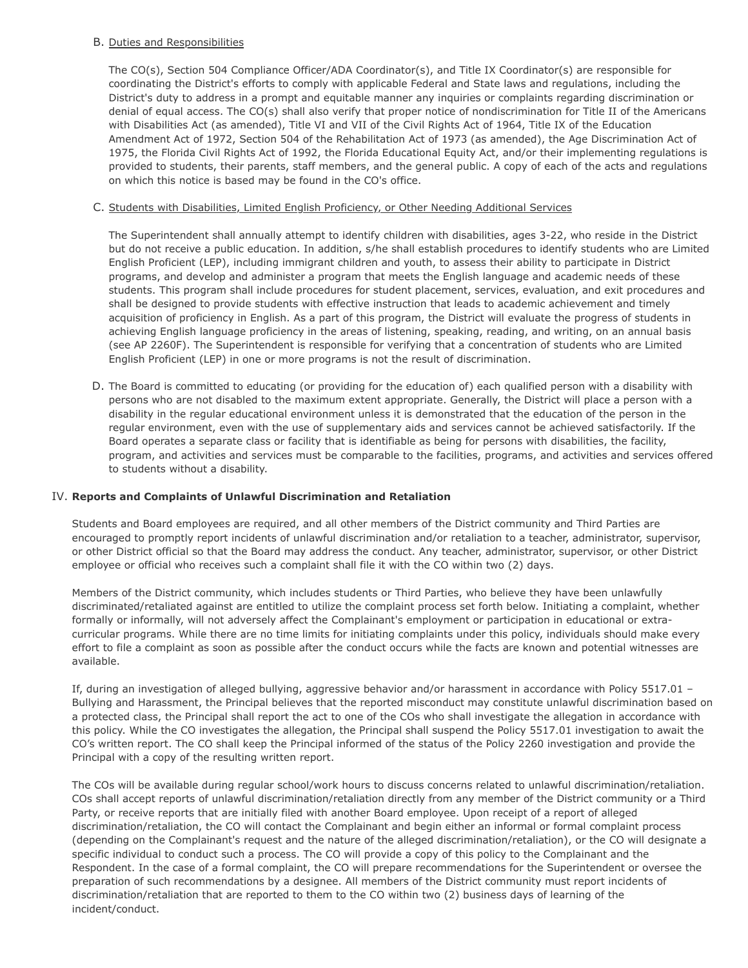# B. Duties and Responsibilities

The CO(s), Section 504 Compliance Officer/ADA Coordinator(s), and Title IX Coordinator(s) are responsible for coordinating the District's efforts to comply with applicable Federal and State laws and regulations, including the District's duty to address in a prompt and equitable manner any inquiries or complaints regarding discrimination or denial of equal access. The CO(s) shall also verify that proper notice of nondiscrimination for Title II of the Americans with Disabilities Act (as amended), Title VI and VII of the Civil Rights Act of 1964, Title IX of the Education Amendment Act of 1972, Section 504 of the Rehabilitation Act of 1973 (as amended), the Age Discrimination Act of 1975, the Florida Civil Rights Act of 1992, the Florida Educational Equity Act, and/or their implementing regulations is provided to students, their parents, staff members, and the general public. A copy of each of the acts and regulations on which this notice is based may be found in the CO's office.

# C. Students with Disabilities, Limited English Proficiency, or Other Needing Additional Services

The Superintendent shall annually attempt to identify children with disabilities, ages 3-22, who reside in the District but do not receive a public education. In addition, s/he shall establish procedures to identify students who are Limited English Proficient (LEP), including immigrant children and youth, to assess their ability to participate in District programs, and develop and administer a program that meets the English language and academic needs of these students. This program shall include procedures for student placement, services, evaluation, and exit procedures and shall be designed to provide students with effective instruction that leads to academic achievement and timely acquisition of proficiency in English. As a part of this program, the District will evaluate the progress of students in achieving English language proficiency in the areas of listening, speaking, reading, and writing, on an annual basis (see AP 2260F). The Superintendent is responsible for verifying that a concentration of students who are Limited English Proficient (LEP) in one or more programs is not the result of discrimination.

D. The Board is committed to educating (or providing for the education of) each qualified person with a disability with persons who are not disabled to the maximum extent appropriate. Generally, the District will place a person with a disability in the regular educational environment unless it is demonstrated that the education of the person in the regular environment, even with the use of supplementary aids and services cannot be achieved satisfactorily. If the Board operates a separate class or facility that is identifiable as being for persons with disabilities, the facility, program, and activities and services must be comparable to the facilities, programs, and activities and services offered to students without a disability.

## IV. **Reports and Complaints of Unlawful Discrimination and Retaliation**

Students and Board employees are required, and all other members of the District community and Third Parties are encouraged to promptly report incidents of unlawful discrimination and/or retaliation to a teacher, administrator, supervisor, or other District official so that the Board may address the conduct. Any teacher, administrator, supervisor, or other District employee or official who receives such a complaint shall file it with the CO within two (2) days.

Members of the District community, which includes students or Third Parties, who believe they have been unlawfully discriminated/retaliated against are entitled to utilize the complaint process set forth below. Initiating a complaint, whether formally or informally, will not adversely affect the Complainant's employment or participation in educational or extracurricular programs. While there are no time limits for initiating complaints under this policy, individuals should make every effort to file a complaint as soon as possible after the conduct occurs while the facts are known and potential witnesses are available.

If, during an investigation of alleged bullying, aggressive behavior and/or harassment in accordance with Policy 5517.01 – Bullying and Harassment, the Principal believes that the reported misconduct may constitute unlawful discrimination based on a protected class, the Principal shall report the act to one of the COs who shall investigate the allegation in accordance with this policy. While the CO investigates the allegation, the Principal shall suspend the Policy 5517.01 investigation to await the CO's written report. The CO shall keep the Principal informed of the status of the Policy 2260 investigation and provide the Principal with a copy of the resulting written report.

The COs will be available during regular school/work hours to discuss concerns related to unlawful discrimination/retaliation. COs shall accept reports of unlawful discrimination/retaliation directly from any member of the District community or a Third Party, or receive reports that are initially filed with another Board employee. Upon receipt of a report of alleged discrimination/retaliation, the CO will contact the Complainant and begin either an informal or formal complaint process (depending on the Complainant's request and the nature of the alleged discrimination/retaliation), or the CO will designate a specific individual to conduct such a process. The CO will provide a copy of this policy to the Complainant and the Respondent. In the case of a formal complaint, the CO will prepare recommendations for the Superintendent or oversee the preparation of such recommendations by a designee. All members of the District community must report incidents of discrimination/retaliation that are reported to them to the CO within two (2) business days of learning of the incident/conduct.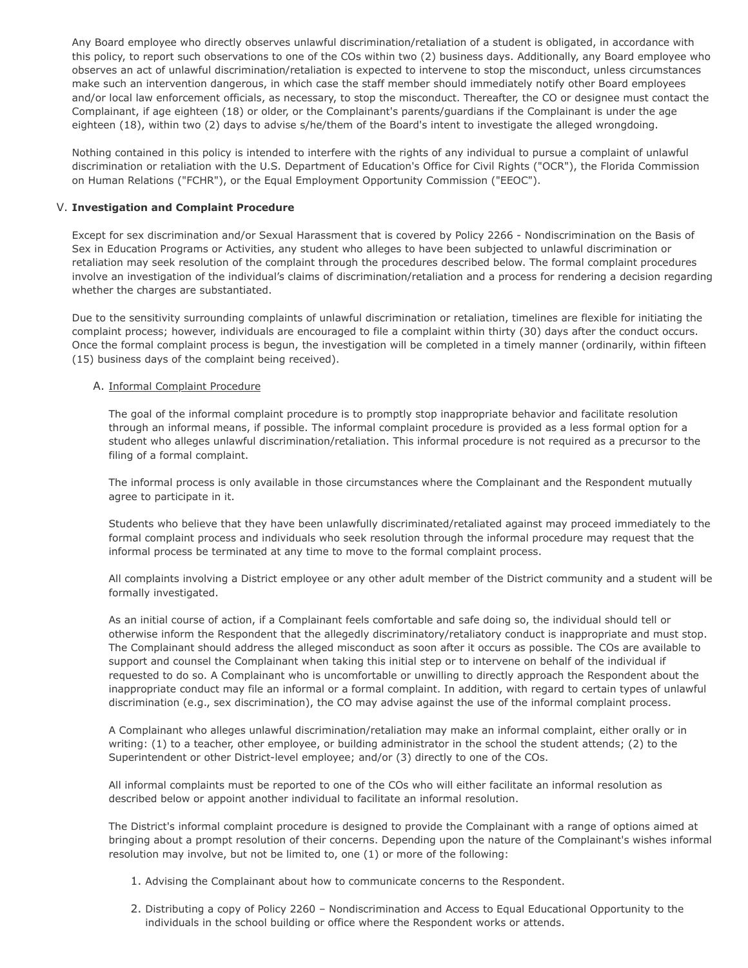Any Board employee who directly observes unlawful discrimination/retaliation of a student is obligated, in accordance with this policy, to report such observations to one of the COs within two (2) business days. Additionally, any Board employee who observes an act of unlawful discrimination/retaliation is expected to intervene to stop the misconduct, unless circumstances make such an intervention dangerous, in which case the staff member should immediately notify other Board employees and/or local law enforcement officials, as necessary, to stop the misconduct. Thereafter, the CO or designee must contact the Complainant, if age eighteen (18) or older, or the Complainant's parents/guardians if the Complainant is under the age eighteen (18), within two (2) days to advise s/he/them of the Board's intent to investigate the alleged wrongdoing.

Nothing contained in this policy is intended to interfere with the rights of any individual to pursue a complaint of unlawful discrimination or retaliation with the U.S. Department of Education's Office for Civil Rights ("OCR"), the Florida Commission on Human Relations ("FCHR"), or the Equal Employment Opportunity Commission ("EEOC").

## V. **Investigation and Complaint Procedure**

Except for sex discrimination and/or Sexual Harassment that is covered by Policy 2266 - Nondiscrimination on the Basis of Sex in Education Programs or Activities, any student who alleges to have been subjected to unlawful discrimination or retaliation may seek resolution of the complaint through the procedures described below. The formal complaint procedures involve an investigation of the individual's claims of discrimination/retaliation and a process for rendering a decision regarding whether the charges are substantiated.

Due to the sensitivity surrounding complaints of unlawful discrimination or retaliation, timelines are flexible for initiating the complaint process; however, individuals are encouraged to file a complaint within thirty (30) days after the conduct occurs. Once the formal complaint process is begun, the investigation will be completed in a timely manner (ordinarily, within fifteen (15) business days of the complaint being received).

## A. Informal Complaint Procedure

The goal of the informal complaint procedure is to promptly stop inappropriate behavior and facilitate resolution through an informal means, if possible. The informal complaint procedure is provided as a less formal option for a student who alleges unlawful discrimination/retaliation. This informal procedure is not required as a precursor to the filing of a formal complaint.

The informal process is only available in those circumstances where the Complainant and the Respondent mutually agree to participate in it.

Students who believe that they have been unlawfully discriminated/retaliated against may proceed immediately to the formal complaint process and individuals who seek resolution through the informal procedure may request that the informal process be terminated at any time to move to the formal complaint process.

All complaints involving a District employee or any other adult member of the District community and a student will be formally investigated.

As an initial course of action, if a Complainant feels comfortable and safe doing so, the individual should tell or otherwise inform the Respondent that the allegedly discriminatory/retaliatory conduct is inappropriate and must stop. The Complainant should address the alleged misconduct as soon after it occurs as possible. The COs are available to support and counsel the Complainant when taking this initial step or to intervene on behalf of the individual if requested to do so. A Complainant who is uncomfortable or unwilling to directly approach the Respondent about the inappropriate conduct may file an informal or a formal complaint. In addition, with regard to certain types of unlawful discrimination (e.g., sex discrimination), the CO may advise against the use of the informal complaint process.

A Complainant who alleges unlawful discrimination/retaliation may make an informal complaint, either orally or in writing: (1) to a teacher, other employee, or building administrator in the school the student attends; (2) to the Superintendent or other District-level employee; and/or (3) directly to one of the COs.

All informal complaints must be reported to one of the COs who will either facilitate an informal resolution as described below or appoint another individual to facilitate an informal resolution.

The District's informal complaint procedure is designed to provide the Complainant with a range of options aimed at bringing about a prompt resolution of their concerns. Depending upon the nature of the Complainant's wishes informal resolution may involve, but not be limited to, one (1) or more of the following:

- 1. Advising the Complainant about how to communicate concerns to the Respondent.
- 2. Distributing a copy of Policy 2260 Nondiscrimination and Access to Equal Educational Opportunity to the individuals in the school building or office where the Respondent works or attends.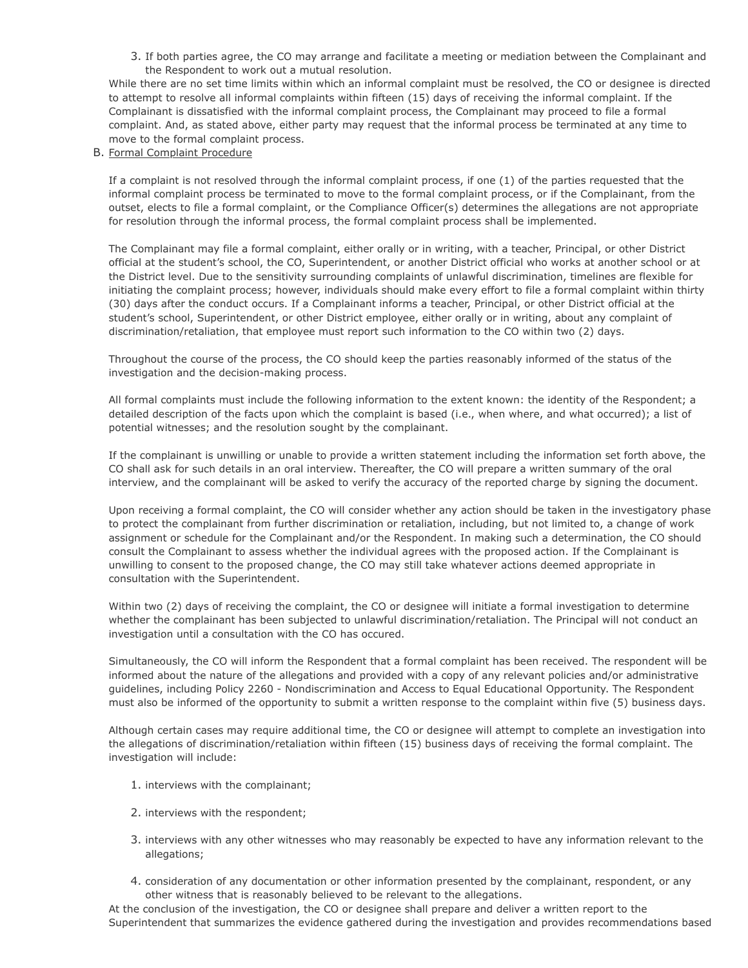3. If both parties agree, the CO may arrange and facilitate a meeting or mediation between the Complainant and the Respondent to work out a mutual resolution.

While there are no set time limits within which an informal complaint must be resolved, the CO or designee is directed to attempt to resolve all informal complaints within fifteen (15) days of receiving the informal complaint. If the Complainant is dissatisfied with the informal complaint process, the Complainant may proceed to file a formal complaint. And, as stated above, either party may request that the informal process be terminated at any time to move to the formal complaint process.

B. Formal Complaint Procedure

If a complaint is not resolved through the informal complaint process, if one (1) of the parties requested that the informal complaint process be terminated to move to the formal complaint process, or if the Complainant, from the outset, elects to file a formal complaint, or the Compliance Officer(s) determines the allegations are not appropriate for resolution through the informal process, the formal complaint process shall be implemented.

The Complainant may file a formal complaint, either orally or in writing, with a teacher, Principal, or other District official at the student's school, the CO, Superintendent, or another District official who works at another school or at the District level. Due to the sensitivity surrounding complaints of unlawful discrimination, timelines are flexible for initiating the complaint process; however, individuals should make every effort to file a formal complaint within thirty (30) days after the conduct occurs. If a Complainant informs a teacher, Principal, or other District official at the student's school, Superintendent, or other District employee, either orally or in writing, about any complaint of discrimination/retaliation, that employee must report such information to the CO within two (2) days.

Throughout the course of the process, the CO should keep the parties reasonably informed of the status of the investigation and the decision-making process.

All formal complaints must include the following information to the extent known: the identity of the Respondent; a detailed description of the facts upon which the complaint is based (i.e., when where, and what occurred); a list of potential witnesses; and the resolution sought by the complainant.

If the complainant is unwilling or unable to provide a written statement including the information set forth above, the CO shall ask for such details in an oral interview. Thereafter, the CO will prepare a written summary of the oral interview, and the complainant will be asked to verify the accuracy of the reported charge by signing the document.

Upon receiving a formal complaint, the CO will consider whether any action should be taken in the investigatory phase to protect the complainant from further discrimination or retaliation, including, but not limited to, a change of work assignment or schedule for the Complainant and/or the Respondent. In making such a determination, the CO should consult the Complainant to assess whether the individual agrees with the proposed action. If the Complainant is unwilling to consent to the proposed change, the CO may still take whatever actions deemed appropriate in consultation with the Superintendent.

Within two (2) days of receiving the complaint, the CO or designee will initiate a formal investigation to determine whether the complainant has been subjected to unlawful discrimination/retaliation. The Principal will not conduct an investigation until a consultation with the CO has occured.

Simultaneously, the CO will inform the Respondent that a formal complaint has been received. The respondent will be informed about the nature of the allegations and provided with a copy of any relevant policies and/or administrative guidelines, including Policy 2260 - Nondiscrimination and Access to Equal Educational Opportunity. The Respondent must also be informed of the opportunity to submit a written response to the complaint within five (5) business days.

Although certain cases may require additional time, the CO or designee will attempt to complete an investigation into the allegations of discrimination/retaliation within fifteen (15) business days of receiving the formal complaint. The investigation will include:

- 1. interviews with the complainant;
- 2. interviews with the respondent;
- 3. interviews with any other witnesses who may reasonably be expected to have any information relevant to the allegations;
- 4. consideration of any documentation or other information presented by the complainant, respondent, or any other witness that is reasonably believed to be relevant to the allegations.

At the conclusion of the investigation, the CO or designee shall prepare and deliver a written report to the Superintendent that summarizes the evidence gathered during the investigation and provides recommendations based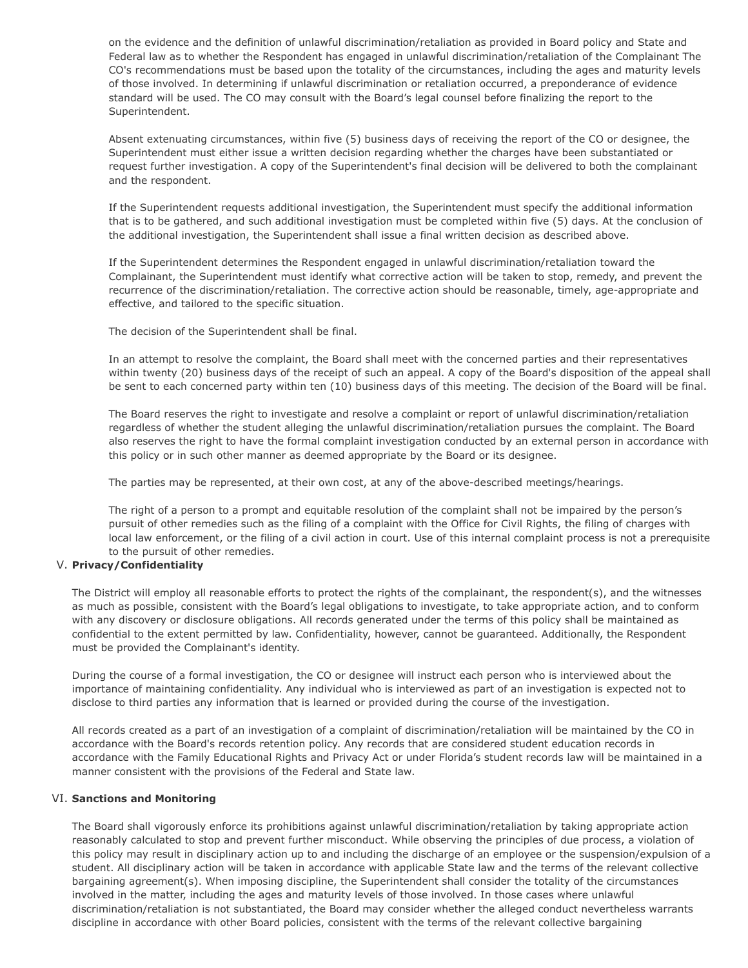on the evidence and the definition of unlawful discrimination/retaliation as provided in Board policy and State and Federal law as to whether the Respondent has engaged in unlawful discrimination/retaliation of the Complainant The CO's recommendations must be based upon the totality of the circumstances, including the ages and maturity levels of those involved. In determining if unlawful discrimination or retaliation occurred, a preponderance of evidence standard will be used. The CO may consult with the Board's legal counsel before finalizing the report to the Superintendent.

Absent extenuating circumstances, within five (5) business days of receiving the report of the CO or designee, the Superintendent must either issue a written decision regarding whether the charges have been substantiated or request further investigation. A copy of the Superintendent's final decision will be delivered to both the complainant and the respondent.

If the Superintendent requests additional investigation, the Superintendent must specify the additional information that is to be gathered, and such additional investigation must be completed within five (5) days. At the conclusion of the additional investigation, the Superintendent shall issue a final written decision as described above.

If the Superintendent determines the Respondent engaged in unlawful discrimination/retaliation toward the Complainant, the Superintendent must identify what corrective action will be taken to stop, remedy, and prevent the recurrence of the discrimination/retaliation. The corrective action should be reasonable, timely, age-appropriate and effective, and tailored to the specific situation.

The decision of the Superintendent shall be final.

In an attempt to resolve the complaint, the Board shall meet with the concerned parties and their representatives within twenty (20) business days of the receipt of such an appeal. A copy of the Board's disposition of the appeal shall be sent to each concerned party within ten (10) business days of this meeting. The decision of the Board will be final.

The Board reserves the right to investigate and resolve a complaint or report of unlawful discrimination/retaliation regardless of whether the student alleging the unlawful discrimination/retaliation pursues the complaint. The Board also reserves the right to have the formal complaint investigation conducted by an external person in accordance with this policy or in such other manner as deemed appropriate by the Board or its designee.

The parties may be represented, at their own cost, at any of the above-described meetings/hearings.

The right of a person to a prompt and equitable resolution of the complaint shall not be impaired by the person's pursuit of other remedies such as the filing of a complaint with the Office for Civil Rights, the filing of charges with local law enforcement, or the filing of a civil action in court. Use of this internal complaint process is not a prerequisite to the pursuit of other remedies.

## V. **Privacy/Confidentiality**

The District will employ all reasonable efforts to protect the rights of the complainant, the respondent(s), and the witnesses as much as possible, consistent with the Board's legal obligations to investigate, to take appropriate action, and to conform with any discovery or disclosure obligations. All records generated under the terms of this policy shall be maintained as confidential to the extent permitted by law. Confidentiality, however, cannot be guaranteed. Additionally, the Respondent must be provided the Complainant's identity.

During the course of a formal investigation, the CO or designee will instruct each person who is interviewed about the importance of maintaining confidentiality. Any individual who is interviewed as part of an investigation is expected not to disclose to third parties any information that is learned or provided during the course of the investigation.

All records created as a part of an investigation of a complaint of discrimination/retaliation will be maintained by the CO in accordance with the Board's records retention policy. Any records that are considered student education records in accordance with the Family Educational Rights and Privacy Act or under Florida's student records law will be maintained in a manner consistent with the provisions of the Federal and State law.

## VI. **Sanctions and Monitoring**

The Board shall vigorously enforce its prohibitions against unlawful discrimination/retaliation by taking appropriate action reasonably calculated to stop and prevent further misconduct. While observing the principles of due process, a violation of this policy may result in disciplinary action up to and including the discharge of an employee or the suspension/expulsion of a student. All disciplinary action will be taken in accordance with applicable State law and the terms of the relevant collective bargaining agreement(s). When imposing discipline, the Superintendent shall consider the totality of the circumstances involved in the matter, including the ages and maturity levels of those involved. In those cases where unlawful discrimination/retaliation is not substantiated, the Board may consider whether the alleged conduct nevertheless warrants discipline in accordance with other Board policies, consistent with the terms of the relevant collective bargaining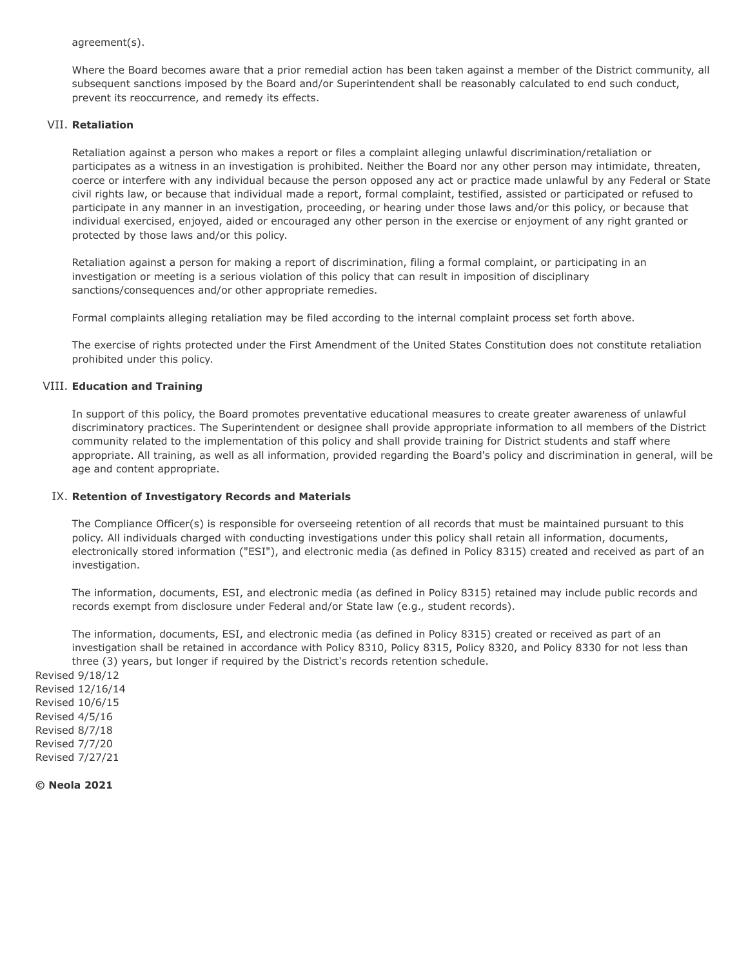agreement(s).

Where the Board becomes aware that a prior remedial action has been taken against a member of the District community, all subsequent sanctions imposed by the Board and/or Superintendent shall be reasonably calculated to end such conduct, prevent its reoccurrence, and remedy its effects.

### VII. **Retaliation**

Retaliation against a person who makes a report or files a complaint alleging unlawful discrimination/retaliation or participates as a witness in an investigation is prohibited. Neither the Board nor any other person may intimidate, threaten, coerce or interfere with any individual because the person opposed any act or practice made unlawful by any Federal or State civil rights law, or because that individual made a report, formal complaint, testified, assisted or participated or refused to participate in any manner in an investigation, proceeding, or hearing under those laws and/or this policy, or because that individual exercised, enjoyed, aided or encouraged any other person in the exercise or enjoyment of any right granted or protected by those laws and/or this policy.

Retaliation against a person for making a report of discrimination, filing a formal complaint, or participating in an investigation or meeting is a serious violation of this policy that can result in imposition of disciplinary sanctions/consequences and/or other appropriate remedies.

Formal complaints alleging retaliation may be filed according to the internal complaint process set forth above.

The exercise of rights protected under the First Amendment of the United States Constitution does not constitute retaliation prohibited under this policy.

### VIII. **Education and Training**

In support of this policy, the Board promotes preventative educational measures to create greater awareness of unlawful discriminatory practices. The Superintendent or designee shall provide appropriate information to all members of the District community related to the implementation of this policy and shall provide training for District students and staff where appropriate. All training, as well as all information, provided regarding the Board's policy and discrimination in general, will be age and content appropriate.

#### IX. **Retention of Investigatory Records and Materials**

The Compliance Officer(s) is responsible for overseeing retention of all records that must be maintained pursuant to this policy. All individuals charged with conducting investigations under this policy shall retain all information, documents, electronically stored information ("ESI"), and electronic media (as defined in Policy 8315) created and received as part of an investigation.

The information, documents, ESI, and electronic media (as defined in Policy 8315) retained may include public records and records exempt from disclosure under Federal and/or State law (e.g., student records).

The information, documents, ESI, and electronic media (as defined in Policy 8315) created or received as part of an investigation shall be retained in accordance with Policy 8310, Policy 8315, Policy 8320, and Policy 8330 for not less than three (3) years, but longer if required by the District's records retention schedule.

Revised 9/18/12 Revised 12/16/14 Revised 10/6/15 Revised 4/5/16 Revised 8/7/18 Revised 7/7/20 Revised 7/27/21

**© Neola 2021**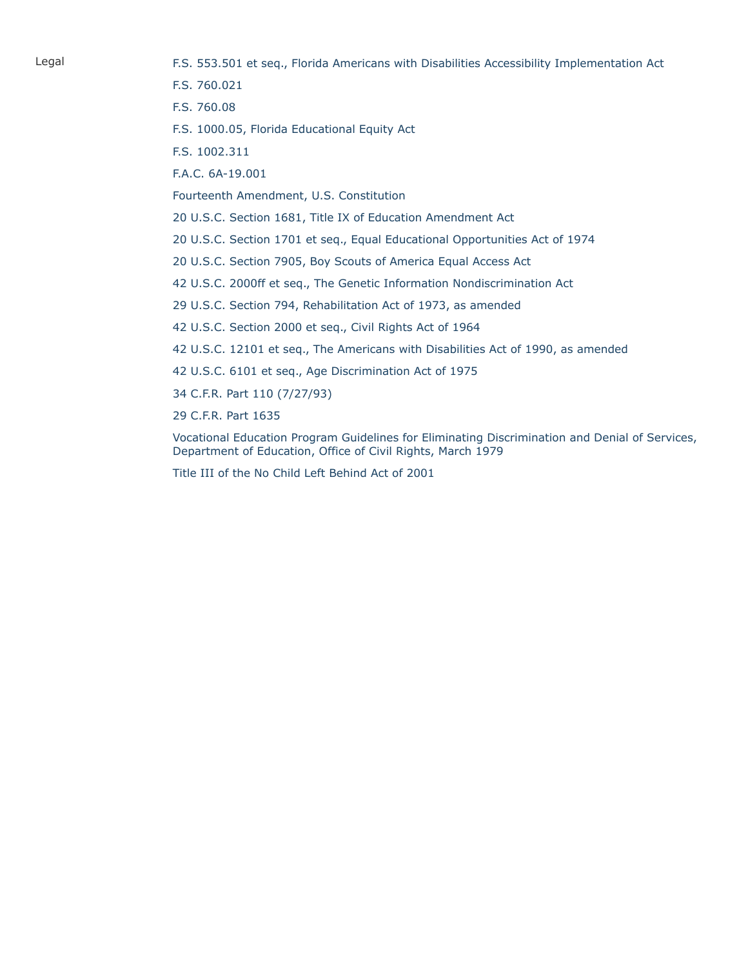- Legal [F.S. 553.501 et seq., Florida Americans with Disabilities Accessibility Implementation Act](http://www.leg.state.fl.us/STATUTES/index.cfm?App_mode=Display_Statute&Search_String=&URL=0500-0599/0553/Sections/0553.501.html)
	- [F.S. 760.021](http://www.leg.state.fl.us/STATUTES/index.cfm?App_mode=Display_Statute&Search_String=&URL=0700-0799/0760/Sections/0760.021.html)
	- [F.S. 760.08](http://www.leg.state.fl.us/STATUTES/index.cfm?App_mode=Display_Statute&Search_String=&URL=0700-0799/0760/Sections/0760.08.html)
	- [F.S. 1000.05, Florida Educational Equity Act](http://www.leg.state.fl.us/STATUTES/index.cfm?App_mode=Display_Statute&Search_String=&URL=1000-1099/1000/Sections/1000.05.html)
	- [F.S. 1002.311](http://www.leg.state.fl.us/STATUTES/index.cfm?App_mode=Display_Statute&Search_String=&URL=1000-1099/1002/Sections/1002.311.html)
	- [F.A.C. 6A-19.001](https://www.flrules.org/gateway/RuleNo.asp?title=EDUCATIONAL%20EQUITY&ID=6A-19.001)
	- [Fourteenth Amendment, U.S. Constitution](http://www.14thamendment.us/amendment/14th_amendment.html)
	- [20 U.S.C. Section 1681, Title IX of Education Amendment Act](http://uscode.house.gov/view.xhtml?req=(title:20%20section:1681%20edition:prelim)%20OR%20(granuleid:USC-prelim-title20-section1681)&f=treesort&edition=prelim&num=0&jumpTo=true)
	- [20 U.S.C. Section 1701 et seq., Equal Educational Opportunities Act of 1974](http://uscode.house.gov/view.xhtml?req=(title:20%20section:1701%20edition:prelim)%20OR%20(granuleid:USC-prelim-title20-section1701)&f=treesort&edition=prelim&num=0&jumpTo=true)
	- [20 U.S.C. Section 7905, Boy Scouts of America Equal Access Act](http://uscode.house.gov/view.xhtml?req=(title:20%20section:7905%20edition:prelim)%20OR%20(granuleid:USC-prelim-title20-section7905)&f=treesort&edition=prelim&num=0&jumpTo=true)
	- [42 U.S.C. 2000ff et seq., The Genetic Information Nondiscrimination Act](http://uscode.house.gov/view.xhtml?req=(title:42%20section:2000ff%20edition:prelim)%20OR%20(granuleid:USC-prelim-title42-section2000ff)&f=treesort&edition=prelim&num=0&jumpTo=true)
	- [29 U.S.C. Section 794, Rehabilitation Act of 1973, as amended](http://uscode.house.gov/view.xhtml?req=(title:29%20section:794%20edition:prelim)%20OR%20(granuleid:USC-prelim-title29-section794)&f=treesort&edition=prelim&num=0&jumpTo=true)
	- [42 U.S.C. Section 2000 et seq., Civil Rights Act of 1964](https://www.eeoc.gov/laws/statutes/titlevii.cfm)
	- [42 U.S.C. 12101 et seq., The Americans with Disabilities Act of 1990, as amended](http://uscode.house.gov/view.xhtml?req=(title:42%20section:12101%20edition:prelim)%20OR%20(granuleid:USC-prelim-title42-section12101)&f=treesort&edition=prelim&num=0&jumpTo=true)
	- [42 U.S.C. 6101 et seq., Age Discrimination Act of 1975](http://uscode.house.gov/view.xhtml?req=(title:42%20section:6101%20edition:prelim)%20OR%20(granuleid:USC-prelim-title42-section6101)&f=treesort&edition=prelim&num=0&jumpTo=true)
	- [34 C.F.R. Part 110 \(7/27/93\)](https://www2.ed.gov/policy/rights/reg/ocr/34cfr110.pdf)
	- [29 C.F.R. Part 1635](http://www.ecfr.gov/cgi-bin/text-idx?tpl=/ecfrbrowse/Title29/29cfr1635_main_02.tpl)
	- [Vocational Education Program Guidelines for Eliminating Discrimination and Denial of Services,](http://www2.ed.gov/about/offices/list/ocr/docs/vocre.html) Department of Education, Office of Civil Rights, March 1979
	- [Title III of the No Child Left Behind Act of 2001](http://www2.ed.gov/policy/elsec/leg/esea02/index.html)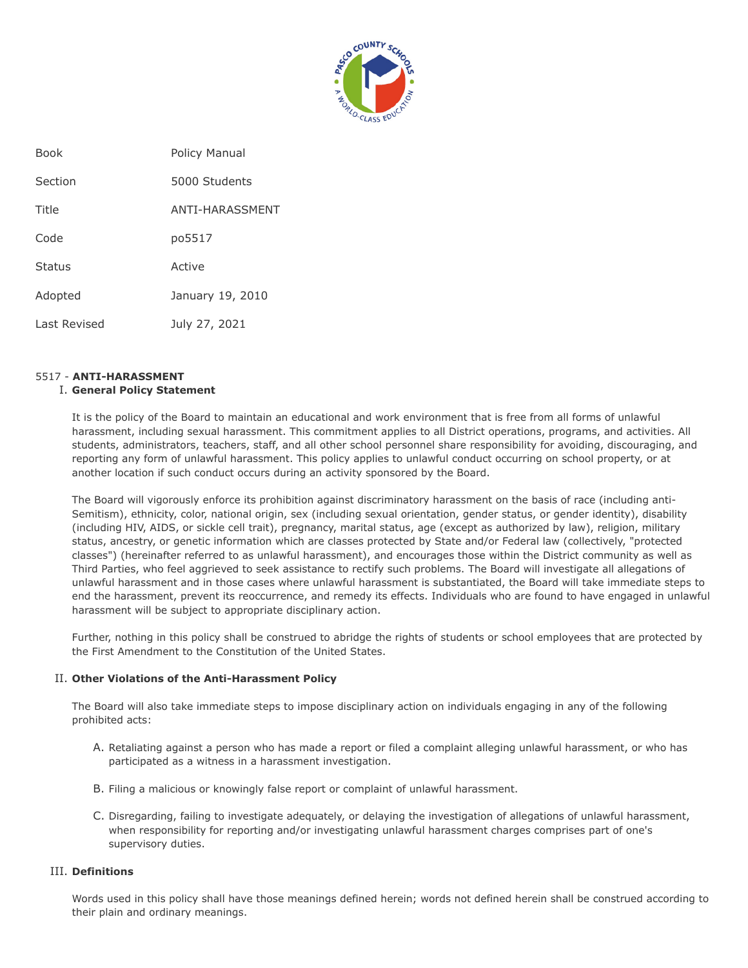

| <b>Book</b>   | <b>Policy Manual</b> |
|---------------|----------------------|
| Section       | 5000 Students        |
| Title         | ANTI-HARASSMENT      |
| Code          | po5517               |
| <b>Status</b> | Active               |
| Adopted       | January 19, 2010     |
| Last Revised  | July 27, 2021        |

# 5517 - **ANTI-HARASSMENT**

# I. **General Policy Statement**

It is the policy of the Board to maintain an educational and work environment that is free from all forms of unlawful harassment, including sexual harassment. This commitment applies to all District operations, programs, and activities. All students, administrators, teachers, staff, and all other school personnel share responsibility for avoiding, discouraging, and reporting any form of unlawful harassment. This policy applies to unlawful conduct occurring on school property, or at another location if such conduct occurs during an activity sponsored by the Board.

The Board will vigorously enforce its prohibition against discriminatory harassment on the basis of race (including anti-Semitism), ethnicity, color, national origin, sex (including sexual orientation, gender status, or gender identity), disability (including HIV, AIDS, or sickle cell trait), pregnancy, marital status, age (except as authorized by law), religion, military status, ancestry, or genetic information which are classes protected by State and/or Federal law (collectively, "protected classes") (hereinafter referred to as unlawful harassment), and encourages those within the District community as well as Third Parties, who feel aggrieved to seek assistance to rectify such problems. The Board will investigate all allegations of unlawful harassment and in those cases where unlawful harassment is substantiated, the Board will take immediate steps to end the harassment, prevent its reoccurrence, and remedy its effects. Individuals who are found to have engaged in unlawful harassment will be subject to appropriate disciplinary action.

Further, nothing in this policy shall be construed to abridge the rights of students or school employees that are protected by the First Amendment to the Constitution of the United States.

## II. **Other Violations of the Anti-Harassment Policy**

The Board will also take immediate steps to impose disciplinary action on individuals engaging in any of the following prohibited acts:

- A. Retaliating against a person who has made a report or filed a complaint alleging unlawful harassment, or who has participated as a witness in a harassment investigation.
- B. Filing a malicious or knowingly false report or complaint of unlawful harassment.
- C. Disregarding, failing to investigate adequately, or delaying the investigation of allegations of unlawful harassment, when responsibility for reporting and/or investigating unlawful harassment charges comprises part of one's supervisory duties.

## III. **Definitions**

Words used in this policy shall have those meanings defined herein; words not defined herein shall be construed according to their plain and ordinary meanings.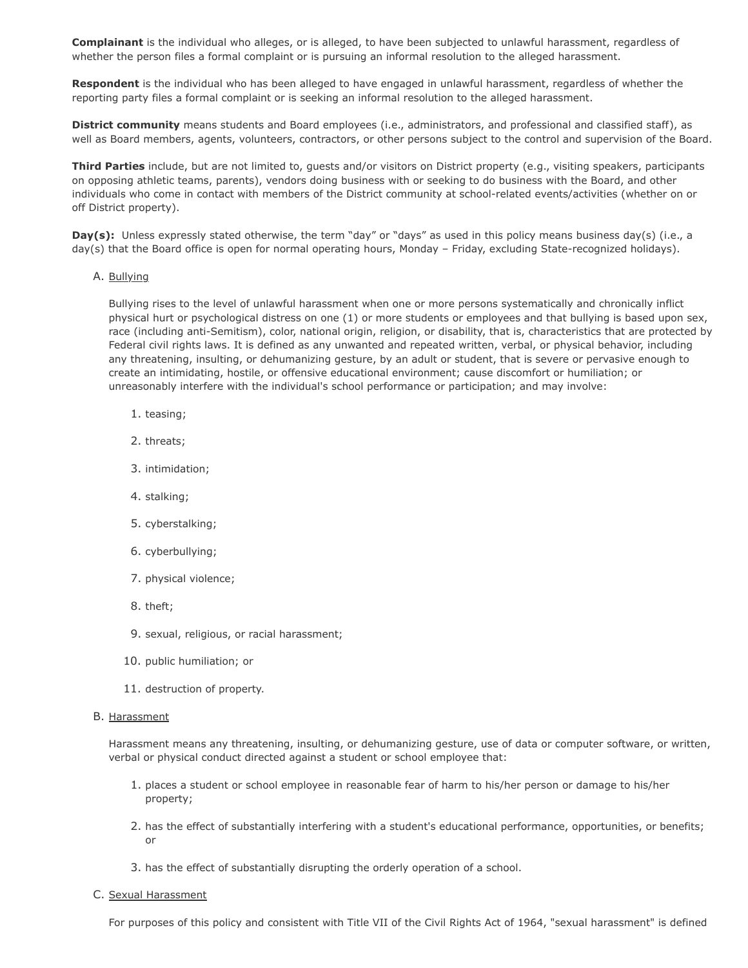**Complainant** is the individual who alleges, or is alleged, to have been subjected to unlawful harassment, regardless of whether the person files a formal complaint or is pursuing an informal resolution to the alleged harassment.

**Respondent** is the individual who has been alleged to have engaged in unlawful harassment, regardless of whether the reporting party files a formal complaint or is seeking an informal resolution to the alleged harassment.

**District community** means students and Board employees (i.e., administrators, and professional and classified staff), as well as Board members, agents, volunteers, contractors, or other persons subject to the control and supervision of the Board.

**Third Parties** include, but are not limited to, guests and/or visitors on District property (e.g., visiting speakers, participants on opposing athletic teams, parents), vendors doing business with or seeking to do business with the Board, and other individuals who come in contact with members of the District community at school-related events/activities (whether on or off District property).

**Day(s):** Unless expressly stated otherwise, the term "day" or "days" as used in this policy means business day(s) (i.e., a day(s) that the Board office is open for normal operating hours, Monday – Friday, excluding State-recognized holidays).

### A. Bullying

Bullying rises to the level of unlawful harassment when one or more persons systematically and chronically inflict physical hurt or psychological distress on one (1) or more students or employees and that bullying is based upon sex, race (including anti-Semitism), color, national origin, religion, or disability, that is, characteristics that are protected by Federal civil rights laws. It is defined as any unwanted and repeated written, verbal, or physical behavior, including any threatening, insulting, or dehumanizing gesture, by an adult or student, that is severe or pervasive enough to create an intimidating, hostile, or offensive educational environment; cause discomfort or humiliation; or unreasonably interfere with the individual's school performance or participation; and may involve:

- 1. teasing;
- 2. threats;
- 3. intimidation;
- 4. stalking;
- 5. cyberstalking;
- 6. cyberbullying;
- 7. physical violence;
- 8. theft;
- 9. sexual, religious, or racial harassment;
- 10. public humiliation; or
- 11. destruction of property.

#### B. Harassment

Harassment means any threatening, insulting, or dehumanizing gesture, use of data or computer software, or written, verbal or physical conduct directed against a student or school employee that:

- 1. places a student or school employee in reasonable fear of harm to his/her person or damage to his/her property;
- 2. has the effect of substantially interfering with a student's educational performance, opportunities, or benefits; or
- 3. has the effect of substantially disrupting the orderly operation of a school.
- C. Sexual Harassment

For purposes of this policy and consistent with Title VII of the Civil Rights Act of 1964, "sexual harassment" is defined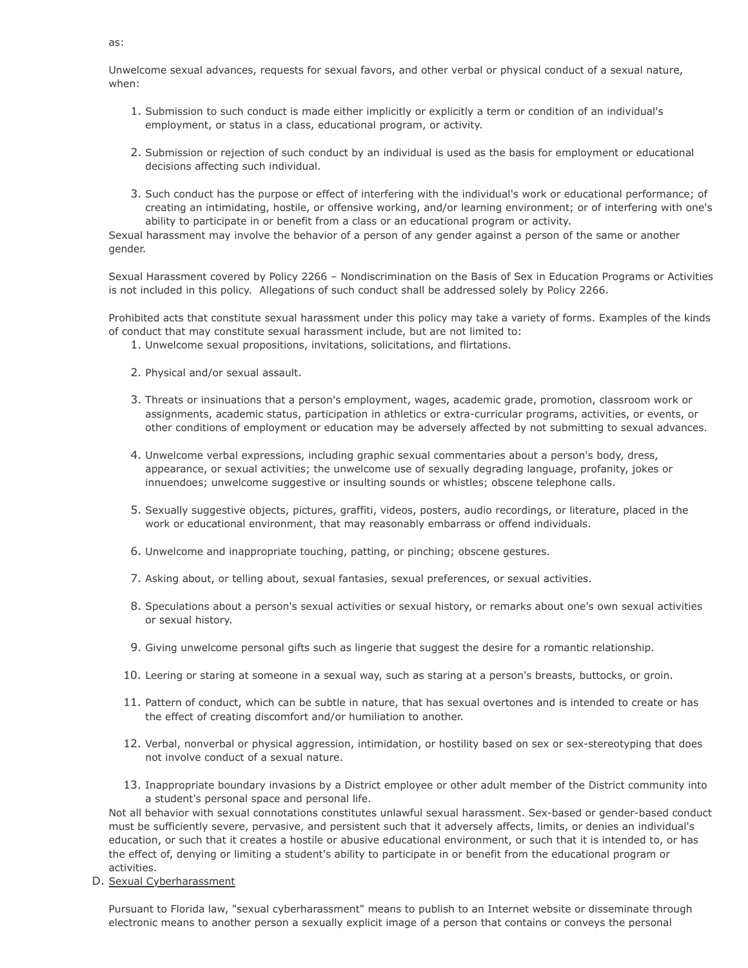Unwelcome sexual advances, requests for sexual favors, and other verbal or physical conduct of a sexual nature, when:

- 1. Submission to such conduct is made either implicitly or explicitly a term or condition of an individual's employment, or status in a class, educational program, or activity.
- 2. Submission or rejection of such conduct by an individual is used as the basis for employment or educational decisions affecting such individual.
- 3. Such conduct has the purpose or effect of interfering with the individual's work or educational performance; of creating an intimidating, hostile, or offensive working, and/or learning environment; or of interfering with one's ability to participate in or benefit from a class or an educational program or activity.

Sexual harassment may involve the behavior of a person of any gender against a person of the same or another gender.

Sexual Harassment covered by Policy 2266 – Nondiscrimination on the Basis of Sex in Education Programs or Activities is not included in this policy. Allegations of such conduct shall be addressed solely by Policy 2266.

Prohibited acts that constitute sexual harassment under this policy may take a variety of forms. Examples of the kinds of conduct that may constitute sexual harassment include, but are not limited to:

- 1. Unwelcome sexual propositions, invitations, solicitations, and flirtations.
- 2. Physical and/or sexual assault.
- 3. Threats or insinuations that a person's employment, wages, academic grade, promotion, classroom work or assignments, academic status, participation in athletics or extra-curricular programs, activities, or events, or other conditions of employment or education may be adversely affected by not submitting to sexual advances.
- 4. Unwelcome verbal expressions, including graphic sexual commentaries about a person's body, dress, appearance, or sexual activities; the unwelcome use of sexually degrading language, profanity, jokes or innuendoes; unwelcome suggestive or insulting sounds or whistles; obscene telephone calls.
- 5. Sexually suggestive objects, pictures, graffiti, videos, posters, audio recordings, or literature, placed in the work or educational environment, that may reasonably embarrass or offend individuals.
- 6. Unwelcome and inappropriate touching, patting, or pinching; obscene gestures.
- 7. Asking about, or telling about, sexual fantasies, sexual preferences, or sexual activities.
- 8. Speculations about a person's sexual activities or sexual history, or remarks about one's own sexual activities or sexual history.
- 9. Giving unwelcome personal gifts such as lingerie that suggest the desire for a romantic relationship.
- 10. Leering or staring at someone in a sexual way, such as staring at a person's breasts, buttocks, or groin.
- 11. Pattern of conduct, which can be subtle in nature, that has sexual overtones and is intended to create or has the effect of creating discomfort and/or humiliation to another.
- 12. Verbal, nonverbal or physical aggression, intimidation, or hostility based on sex or sex-stereotyping that does not involve conduct of a sexual nature.
- 13. Inappropriate boundary invasions by a District employee or other adult member of the District community into a student's personal space and personal life.

Not all behavior with sexual connotations constitutes unlawful sexual harassment. Sex-based or gender-based conduct must be sufficiently severe, pervasive, and persistent such that it adversely affects, limits, or denies an individual's education, or such that it creates a hostile or abusive educational environment, or such that it is intended to, or has the effect of, denying or limiting a student's ability to participate in or benefit from the educational program or activities.

D. Sexual Cyberharassment

Pursuant to Florida law, "sexual cyberharassment" means to publish to an Internet website or disseminate through electronic means to another person a sexually explicit image of a person that contains or conveys the personal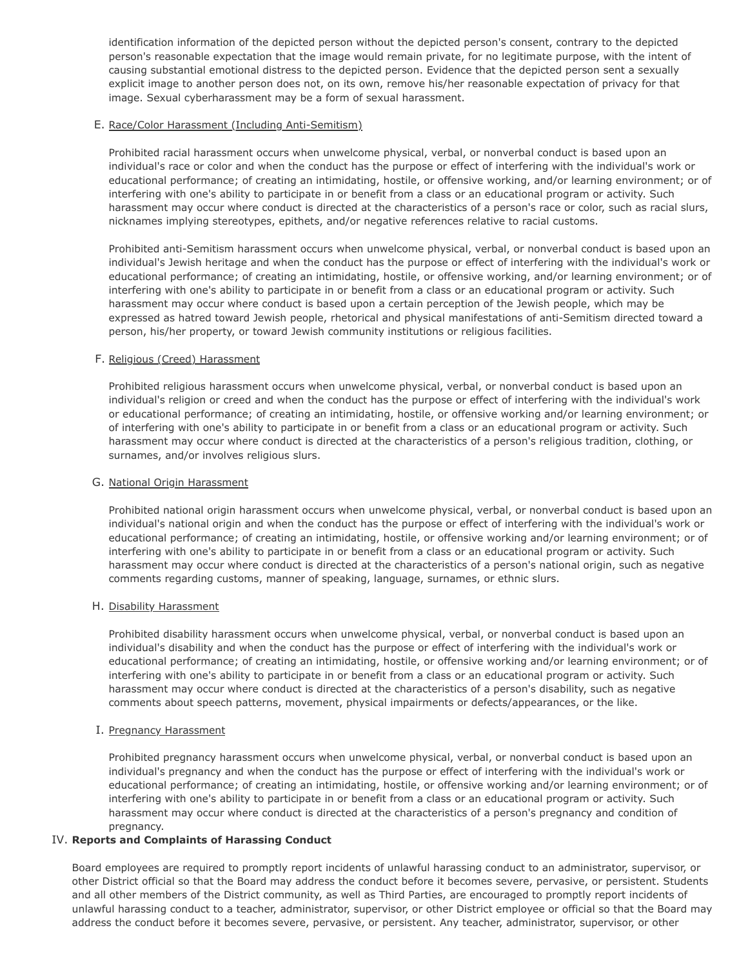identification information of the depicted person without the depicted person's consent, contrary to the depicted person's reasonable expectation that the image would remain private, for no legitimate purpose, with the intent of causing substantial emotional distress to the depicted person. Evidence that the depicted person sent a sexually explicit image to another person does not, on its own, remove his/her reasonable expectation of privacy for that image. Sexual cyberharassment may be a form of sexual harassment.

### E. Race/Color Harassment (Including Anti-Semitism)

Prohibited racial harassment occurs when unwelcome physical, verbal, or nonverbal conduct is based upon an individual's race or color and when the conduct has the purpose or effect of interfering with the individual's work or educational performance; of creating an intimidating, hostile, or offensive working, and/or learning environment; or of interfering with one's ability to participate in or benefit from a class or an educational program or activity. Such harassment may occur where conduct is directed at the characteristics of a person's race or color, such as racial slurs, nicknames implying stereotypes, epithets, and/or negative references relative to racial customs.

Prohibited anti-Semitism harassment occurs when unwelcome physical, verbal, or nonverbal conduct is based upon an individual's Jewish heritage and when the conduct has the purpose or effect of interfering with the individual's work or educational performance; of creating an intimidating, hostile, or offensive working, and/or learning environment; or of interfering with one's ability to participate in or benefit from a class or an educational program or activity. Such harassment may occur where conduct is based upon a certain perception of the Jewish people, which may be expressed as hatred toward Jewish people, rhetorical and physical manifestations of anti-Semitism directed toward a person, his/her property, or toward Jewish community institutions or religious facilities.

## F. Religious (Creed) Harassment

Prohibited religious harassment occurs when unwelcome physical, verbal, or nonverbal conduct is based upon an individual's religion or creed and when the conduct has the purpose or effect of interfering with the individual's work or educational performance; of creating an intimidating, hostile, or offensive working and/or learning environment; or of interfering with one's ability to participate in or benefit from a class or an educational program or activity. Such harassment may occur where conduct is directed at the characteristics of a person's religious tradition, clothing, or surnames, and/or involves religious slurs.

### G. National Origin Harassment

Prohibited national origin harassment occurs when unwelcome physical, verbal, or nonverbal conduct is based upon an individual's national origin and when the conduct has the purpose or effect of interfering with the individual's work or educational performance; of creating an intimidating, hostile, or offensive working and/or learning environment; or of interfering with one's ability to participate in or benefit from a class or an educational program or activity. Such harassment may occur where conduct is directed at the characteristics of a person's national origin, such as negative comments regarding customs, manner of speaking, language, surnames, or ethnic slurs.

## H. Disability Harassment

Prohibited disability harassment occurs when unwelcome physical, verbal, or nonverbal conduct is based upon an individual's disability and when the conduct has the purpose or effect of interfering with the individual's work or educational performance; of creating an intimidating, hostile, or offensive working and/or learning environment; or of interfering with one's ability to participate in or benefit from a class or an educational program or activity. Such harassment may occur where conduct is directed at the characteristics of a person's disability, such as negative comments about speech patterns, movement, physical impairments or defects/appearances, or the like.

#### I. Pregnancy Harassment

Prohibited pregnancy harassment occurs when unwelcome physical, verbal, or nonverbal conduct is based upon an individual's pregnancy and when the conduct has the purpose or effect of interfering with the individual's work or educational performance; of creating an intimidating, hostile, or offensive working and/or learning environment; or of interfering with one's ability to participate in or benefit from a class or an educational program or activity. Such harassment may occur where conduct is directed at the characteristics of a person's pregnancy and condition of pregnancy.

## IV. **Reports and Complaints of Harassing Conduct**

Board employees are required to promptly report incidents of unlawful harassing conduct to an administrator, supervisor, or other District official so that the Board may address the conduct before it becomes severe, pervasive, or persistent. Students and all other members of the District community, as well as Third Parties, are encouraged to promptly report incidents of unlawful harassing conduct to a teacher, administrator, supervisor, or other District employee or official so that the Board may address the conduct before it becomes severe, pervasive, or persistent. Any teacher, administrator, supervisor, or other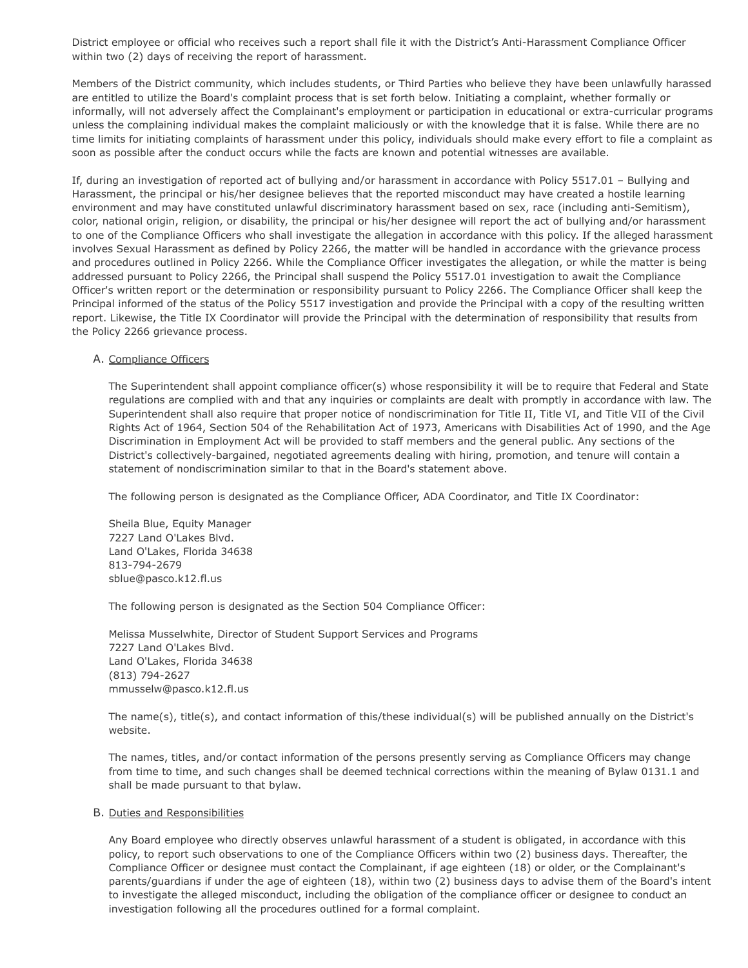District employee or official who receives such a report shall file it with the District's Anti-Harassment Compliance Officer within two (2) days of receiving the report of harassment.

Members of the District community, which includes students, or Third Parties who believe they have been unlawfully harassed are entitled to utilize the Board's complaint process that is set forth below. Initiating a complaint, whether formally or informally, will not adversely affect the Complainant's employment or participation in educational or extra-curricular programs unless the complaining individual makes the complaint maliciously or with the knowledge that it is false. While there are no time limits for initiating complaints of harassment under this policy, individuals should make every effort to file a complaint as soon as possible after the conduct occurs while the facts are known and potential witnesses are available.

If, during an investigation of reported act of bullying and/or harassment in accordance with Policy 5517.01 – Bullying and Harassment, the principal or his/her designee believes that the reported misconduct may have created a hostile learning environment and may have constituted unlawful discriminatory harassment based on sex, race (including anti-Semitism), color, national origin, religion, or disability, the principal or his/her designee will report the act of bullying and/or harassment to one of the Compliance Officers who shall investigate the allegation in accordance with this policy. If the alleged harassment involves Sexual Harassment as defined by Policy 2266, the matter will be handled in accordance with the grievance process and procedures outlined in Policy 2266. While the Compliance Officer investigates the allegation, or while the matter is being addressed pursuant to Policy 2266, the Principal shall suspend the Policy 5517.01 investigation to await the Compliance Officer's written report or the determination or responsibility pursuant to Policy 2266. The Compliance Officer shall keep the Principal informed of the status of the Policy 5517 investigation and provide the Principal with a copy of the resulting written report. Likewise, the Title IX Coordinator will provide the Principal with the determination of responsibility that results from the Policy 2266 grievance process.

### A. Compliance Officers

The Superintendent shall appoint compliance officer(s) whose responsibility it will be to require that Federal and State regulations are complied with and that any inquiries or complaints are dealt with promptly in accordance with law. The Superintendent shall also require that proper notice of nondiscrimination for Title II, Title VI, and Title VII of the Civil Rights Act of 1964, Section 504 of the Rehabilitation Act of 1973, Americans with Disabilities Act of 1990, and the Age Discrimination in Employment Act will be provided to staff members and the general public. Any sections of the District's collectively-bargained, negotiated agreements dealing with hiring, promotion, and tenure will contain a statement of nondiscrimination similar to that in the Board's statement above.

The following person is designated as the Compliance Officer, ADA Coordinator, and Title IX Coordinator:

Sheila Blue, Equity Manager 7227 Land O'Lakes Blvd. Land O'Lakes, Florida 34638 813-794-2679 sblue@pasco.k12.fl.us

The following person is designated as the Section 504 Compliance Officer:

Melissa Musselwhite, Director of Student Support Services and Programs 7227 Land O'Lakes Blvd. Land O'Lakes, Florida 34638 (813) 794-2627 mmusselw@pasco.k12.fl.us

The name(s), title(s), and contact information of this/these individual(s) will be published annually on the District's website.

The names, titles, and/or contact information of the persons presently serving as Compliance Officers may change from time to time, and such changes shall be deemed technical corrections within the meaning of Bylaw 0131.1 and shall be made pursuant to that bylaw.

#### B. Duties and Responsibilities

Any Board employee who directly observes unlawful harassment of a student is obligated, in accordance with this policy, to report such observations to one of the Compliance Officers within two (2) business days. Thereafter, the Compliance Officer or designee must contact the Complainant, if age eighteen (18) or older, or the Complainant's parents/guardians if under the age of eighteen (18), within two (2) business days to advise them of the Board's intent to investigate the alleged misconduct, including the obligation of the compliance officer or designee to conduct an investigation following all the procedures outlined for a formal complaint.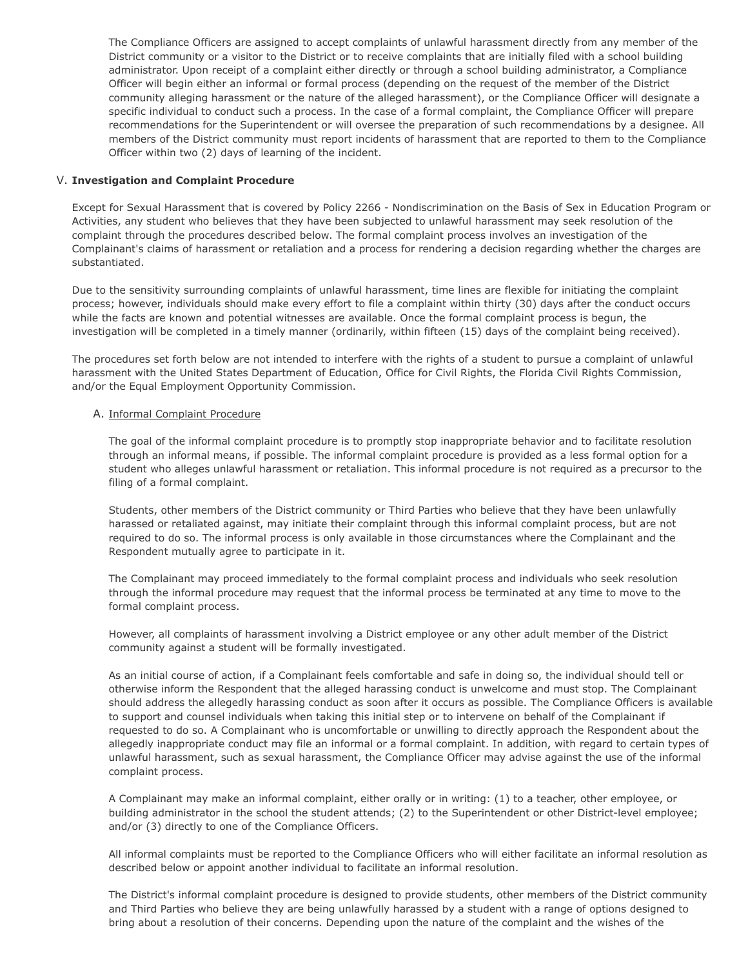The Compliance Officers are assigned to accept complaints of unlawful harassment directly from any member of the District community or a visitor to the District or to receive complaints that are initially filed with a school building administrator. Upon receipt of a complaint either directly or through a school building administrator, a Compliance Officer will begin either an informal or formal process (depending on the request of the member of the District community alleging harassment or the nature of the alleged harassment), or the Compliance Officer will designate a specific individual to conduct such a process. In the case of a formal complaint, the Compliance Officer will prepare recommendations for the Superintendent or will oversee the preparation of such recommendations by a designee. All members of the District community must report incidents of harassment that are reported to them to the Compliance Officer within two (2) days of learning of the incident.

### V. **Investigation and Complaint Procedure**

Except for Sexual Harassment that is covered by Policy 2266 - Nondiscrimination on the Basis of Sex in Education Program or Activities, any student who believes that they have been subjected to unlawful harassment may seek resolution of the complaint through the procedures described below. The formal complaint process involves an investigation of the Complainant's claims of harassment or retaliation and a process for rendering a decision regarding whether the charges are substantiated.

Due to the sensitivity surrounding complaints of unlawful harassment, time lines are flexible for initiating the complaint process; however, individuals should make every effort to file a complaint within thirty (30) days after the conduct occurs while the facts are known and potential witnesses are available. Once the formal complaint process is begun, the investigation will be completed in a timely manner (ordinarily, within fifteen (15) days of the complaint being received).

The procedures set forth below are not intended to interfere with the rights of a student to pursue a complaint of unlawful harassment with the United States Department of Education, Office for Civil Rights, the Florida Civil Rights Commission, and/or the Equal Employment Opportunity Commission.

### A. Informal Complaint Procedure

The goal of the informal complaint procedure is to promptly stop inappropriate behavior and to facilitate resolution through an informal means, if possible. The informal complaint procedure is provided as a less formal option for a student who alleges unlawful harassment or retaliation. This informal procedure is not required as a precursor to the filing of a formal complaint.

Students, other members of the District community or Third Parties who believe that they have been unlawfully harassed or retaliated against, may initiate their complaint through this informal complaint process, but are not required to do so. The informal process is only available in those circumstances where the Complainant and the Respondent mutually agree to participate in it.

The Complainant may proceed immediately to the formal complaint process and individuals who seek resolution through the informal procedure may request that the informal process be terminated at any time to move to the formal complaint process.

However, all complaints of harassment involving a District employee or any other adult member of the District community against a student will be formally investigated.

As an initial course of action, if a Complainant feels comfortable and safe in doing so, the individual should tell or otherwise inform the Respondent that the alleged harassing conduct is unwelcome and must stop. The Complainant should address the allegedly harassing conduct as soon after it occurs as possible. The Compliance Officers is available to support and counsel individuals when taking this initial step or to intervene on behalf of the Complainant if requested to do so. A Complainant who is uncomfortable or unwilling to directly approach the Respondent about the allegedly inappropriate conduct may file an informal or a formal complaint. In addition, with regard to certain types of unlawful harassment, such as sexual harassment, the Compliance Officer may advise against the use of the informal complaint process.

A Complainant may make an informal complaint, either orally or in writing: (1) to a teacher, other employee, or building administrator in the school the student attends; (2) to the Superintendent or other District-level employee; and/or (3) directly to one of the Compliance Officers.

All informal complaints must be reported to the Compliance Officers who will either facilitate an informal resolution as described below or appoint another individual to facilitate an informal resolution.

The District's informal complaint procedure is designed to provide students, other members of the District community and Third Parties who believe they are being unlawfully harassed by a student with a range of options designed to bring about a resolution of their concerns. Depending upon the nature of the complaint and the wishes of the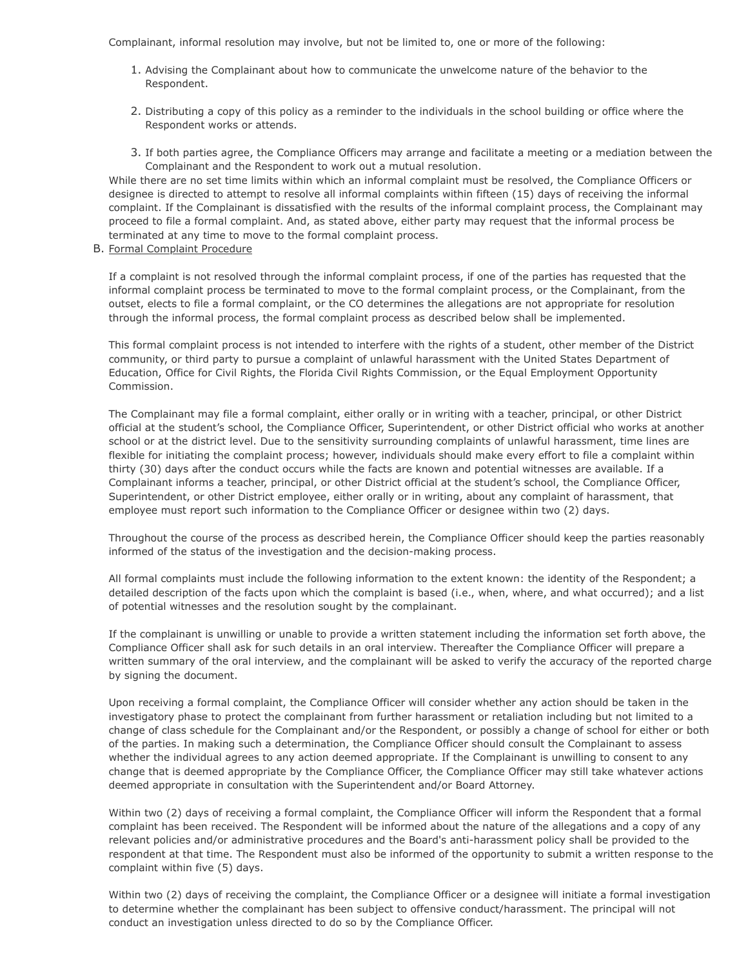Complainant, informal resolution may involve, but not be limited to, one or more of the following:

- 1. Advising the Complainant about how to communicate the unwelcome nature of the behavior to the Respondent.
- 2. Distributing a copy of this policy as a reminder to the individuals in the school building or office where the Respondent works or attends.
- 3. If both parties agree, the Compliance Officers may arrange and facilitate a meeting or a mediation between the Complainant and the Respondent to work out a mutual resolution.

While there are no set time limits within which an informal complaint must be resolved, the Compliance Officers or designee is directed to attempt to resolve all informal complaints within fifteen (15) days of receiving the informal complaint. If the Complainant is dissatisfied with the results of the informal complaint process, the Complainant may proceed to file a formal complaint. And, as stated above, either party may request that the informal process be terminated at any time to move to the formal complaint process.

## B. Formal Complaint Procedure

If a complaint is not resolved through the informal complaint process, if one of the parties has requested that the informal complaint process be terminated to move to the formal complaint process, or the Complainant, from the outset, elects to file a formal complaint, or the CO determines the allegations are not appropriate for resolution through the informal process, the formal complaint process as described below shall be implemented.

This formal complaint process is not intended to interfere with the rights of a student, other member of the District community, or third party to pursue a complaint of unlawful harassment with the United States Department of Education, Office for Civil Rights, the Florida Civil Rights Commission, or the Equal Employment Opportunity Commission.

The Complainant may file a formal complaint, either orally or in writing with a teacher, principal, or other District official at the student's school, the Compliance Officer, Superintendent, or other District official who works at another school or at the district level. Due to the sensitivity surrounding complaints of unlawful harassment, time lines are flexible for initiating the complaint process; however, individuals should make every effort to file a complaint within thirty (30) days after the conduct occurs while the facts are known and potential witnesses are available. If a Complainant informs a teacher, principal, or other District official at the student's school, the Compliance Officer, Superintendent, or other District employee, either orally or in writing, about any complaint of harassment, that employee must report such information to the Compliance Officer or designee within two (2) days.

Throughout the course of the process as described herein, the Compliance Officer should keep the parties reasonably informed of the status of the investigation and the decision-making process.

All formal complaints must include the following information to the extent known: the identity of the Respondent; a detailed description of the facts upon which the complaint is based (i.e., when, where, and what occurred); and a list of potential witnesses and the resolution sought by the complainant.

If the complainant is unwilling or unable to provide a written statement including the information set forth above, the Compliance Officer shall ask for such details in an oral interview. Thereafter the Compliance Officer will prepare a written summary of the oral interview, and the complainant will be asked to verify the accuracy of the reported charge by signing the document.

Upon receiving a formal complaint, the Compliance Officer will consider whether any action should be taken in the investigatory phase to protect the complainant from further harassment or retaliation including but not limited to a change of class schedule for the Complainant and/or the Respondent, or possibly a change of school for either or both of the parties. In making such a determination, the Compliance Officer should consult the Complainant to assess whether the individual agrees to any action deemed appropriate. If the Complainant is unwilling to consent to any change that is deemed appropriate by the Compliance Officer, the Compliance Officer may still take whatever actions deemed appropriate in consultation with the Superintendent and/or Board Attorney.

Within two (2) days of receiving a formal complaint, the Compliance Officer will inform the Respondent that a formal complaint has been received. The Respondent will be informed about the nature of the allegations and a copy of any relevant policies and/or administrative procedures and the Board's anti-harassment policy shall be provided to the respondent at that time. The Respondent must also be informed of the opportunity to submit a written response to the complaint within five (5) days.

Within two (2) days of receiving the complaint, the Compliance Officer or a designee will initiate a formal investigation to determine whether the complainant has been subject to offensive conduct/harassment. The principal will not conduct an investigation unless directed to do so by the Compliance Officer.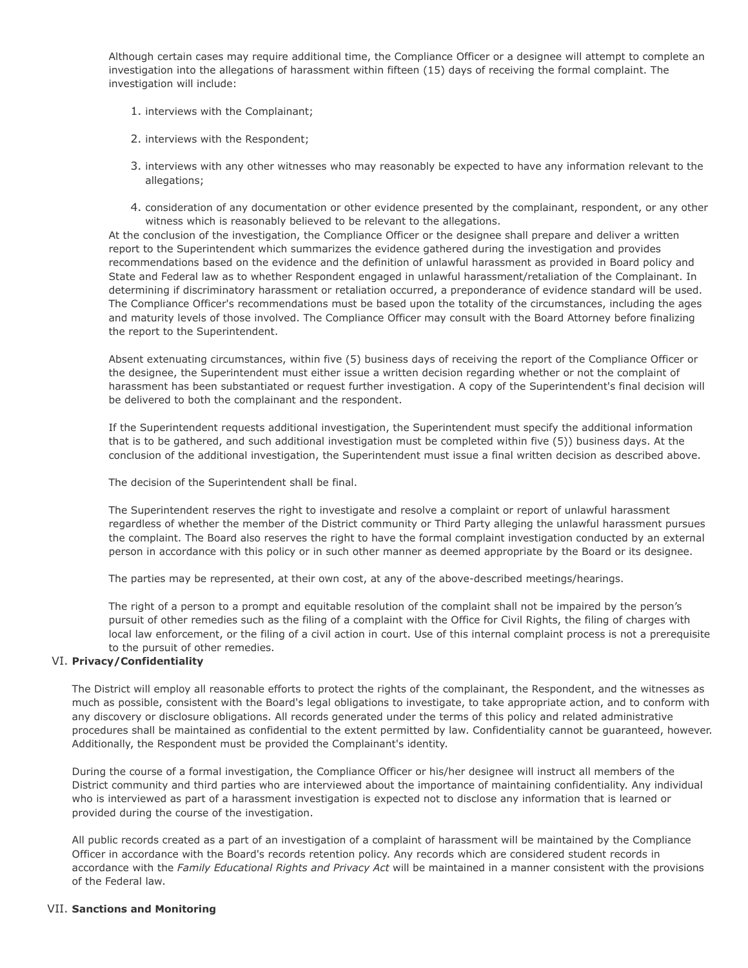Although certain cases may require additional time, the Compliance Officer or a designee will attempt to complete an investigation into the allegations of harassment within fifteen (15) days of receiving the formal complaint. The investigation will include:

- 1. interviews with the Complainant;
- 2. interviews with the Respondent;
- 3. interviews with any other witnesses who may reasonably be expected to have any information relevant to the allegations;
- 4. consideration of any documentation or other evidence presented by the complainant, respondent, or any other witness which is reasonably believed to be relevant to the allegations.

At the conclusion of the investigation, the Compliance Officer or the designee shall prepare and deliver a written report to the Superintendent which summarizes the evidence gathered during the investigation and provides recommendations based on the evidence and the definition of unlawful harassment as provided in Board policy and State and Federal law as to whether Respondent engaged in unlawful harassment/retaliation of the Complainant. In determining if discriminatory harassment or retaliation occurred, a preponderance of evidence standard will be used. The Compliance Officer's recommendations must be based upon the totality of the circumstances, including the ages and maturity levels of those involved. The Compliance Officer may consult with the Board Attorney before finalizing the report to the Superintendent.

Absent extenuating circumstances, within five (5) business days of receiving the report of the Compliance Officer or the designee, the Superintendent must either issue a written decision regarding whether or not the complaint of harassment has been substantiated or request further investigation. A copy of the Superintendent's final decision will be delivered to both the complainant and the respondent.

If the Superintendent requests additional investigation, the Superintendent must specify the additional information that is to be gathered, and such additional investigation must be completed within five (5)) business days. At the conclusion of the additional investigation, the Superintendent must issue a final written decision as described above.

The decision of the Superintendent shall be final.

The Superintendent reserves the right to investigate and resolve a complaint or report of unlawful harassment regardless of whether the member of the District community or Third Party alleging the unlawful harassment pursues the complaint. The Board also reserves the right to have the formal complaint investigation conducted by an external person in accordance with this policy or in such other manner as deemed appropriate by the Board or its designee.

The parties may be represented, at their own cost, at any of the above-described meetings/hearings.

The right of a person to a prompt and equitable resolution of the complaint shall not be impaired by the person's pursuit of other remedies such as the filing of a complaint with the Office for Civil Rights, the filing of charges with local law enforcement, or the filing of a civil action in court. Use of this internal complaint process is not a prerequisite to the pursuit of other remedies.

## VI. **Privacy/Confidentiality**

The District will employ all reasonable efforts to protect the rights of the complainant, the Respondent, and the witnesses as much as possible, consistent with the Board's legal obligations to investigate, to take appropriate action, and to conform with any discovery or disclosure obligations. All records generated under the terms of this policy and related administrative procedures shall be maintained as confidential to the extent permitted by law. Confidentiality cannot be guaranteed, however. Additionally, the Respondent must be provided the Complainant's identity.

During the course of a formal investigation, the Compliance Officer or his/her designee will instruct all members of the District community and third parties who are interviewed about the importance of maintaining confidentiality. Any individual who is interviewed as part of a harassment investigation is expected not to disclose any information that is learned or provided during the course of the investigation.

All public records created as a part of an investigation of a complaint of harassment will be maintained by the Compliance Officer in accordance with the Board's records retention policy. Any records which are considered student records in accordance with the *Family Educational Rights and Privacy Act* will be maintained in a manner consistent with the provisions of the Federal law.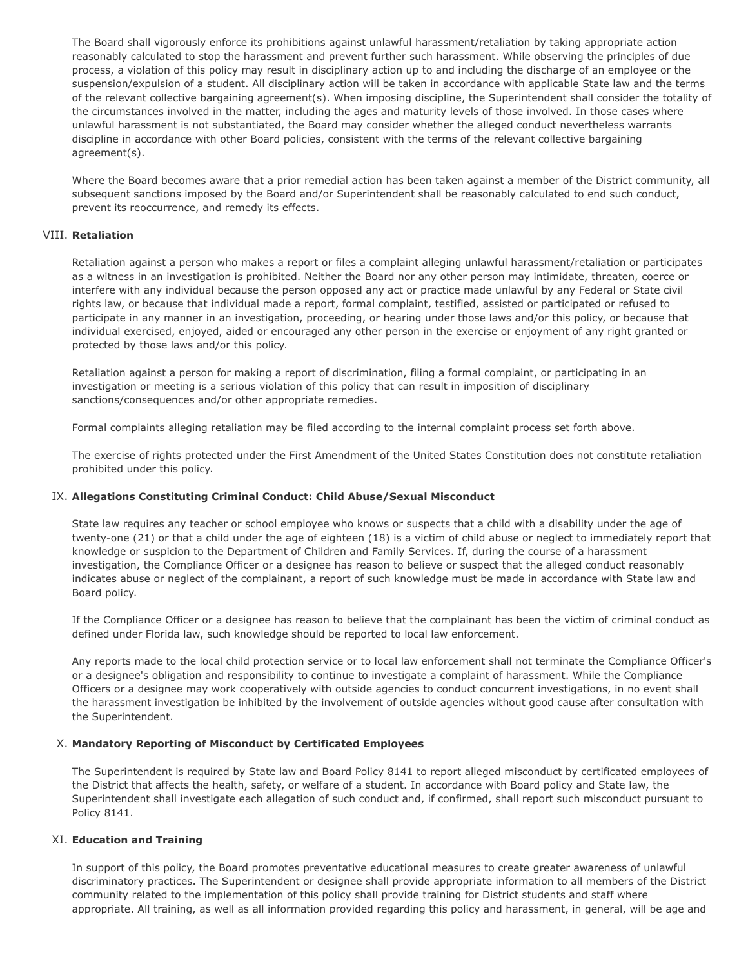The Board shall vigorously enforce its prohibitions against unlawful harassment/retaliation by taking appropriate action reasonably calculated to stop the harassment and prevent further such harassment. While observing the principles of due process, a violation of this policy may result in disciplinary action up to and including the discharge of an employee or the suspension/expulsion of a student. All disciplinary action will be taken in accordance with applicable State law and the terms of the relevant collective bargaining agreement(s). When imposing discipline, the Superintendent shall consider the totality of the circumstances involved in the matter, including the ages and maturity levels of those involved. In those cases where unlawful harassment is not substantiated, the Board may consider whether the alleged conduct nevertheless warrants discipline in accordance with other Board policies, consistent with the terms of the relevant collective bargaining agreement(s).

Where the Board becomes aware that a prior remedial action has been taken against a member of the District community, all subsequent sanctions imposed by the Board and/or Superintendent shall be reasonably calculated to end such conduct, prevent its reoccurrence, and remedy its effects.

# VIII. **Retaliation**

Retaliation against a person who makes a report or files a complaint alleging unlawful harassment/retaliation or participates as a witness in an investigation is prohibited. Neither the Board nor any other person may intimidate, threaten, coerce or interfere with any individual because the person opposed any act or practice made unlawful by any Federal or State civil rights law, or because that individual made a report, formal complaint, testified, assisted or participated or refused to participate in any manner in an investigation, proceeding, or hearing under those laws and/or this policy, or because that individual exercised, enjoyed, aided or encouraged any other person in the exercise or enjoyment of any right granted or protected by those laws and/or this policy.

Retaliation against a person for making a report of discrimination, filing a formal complaint, or participating in an investigation or meeting is a serious violation of this policy that can result in imposition of disciplinary sanctions/consequences and/or other appropriate remedies.

Formal complaints alleging retaliation may be filed according to the internal complaint process set forth above.

The exercise of rights protected under the First Amendment of the United States Constitution does not constitute retaliation prohibited under this policy.

## IX. **Allegations Constituting Criminal Conduct: Child Abuse/Sexual Misconduct**

State law requires any teacher or school employee who knows or suspects that a child with a disability under the age of twenty-one (21) or that a child under the age of eighteen (18) is a victim of child abuse or neglect to immediately report that knowledge or suspicion to the Department of Children and Family Services. If, during the course of a harassment investigation, the Compliance Officer or a designee has reason to believe or suspect that the alleged conduct reasonably indicates abuse or neglect of the complainant, a report of such knowledge must be made in accordance with State law and Board policy.

If the Compliance Officer or a designee has reason to believe that the complainant has been the victim of criminal conduct as defined under Florida law, such knowledge should be reported to local law enforcement.

Any reports made to the local child protection service or to local law enforcement shall not terminate the Compliance Officer's or a designee's obligation and responsibility to continue to investigate a complaint of harassment. While the Compliance Officers or a designee may work cooperatively with outside agencies to conduct concurrent investigations, in no event shall the harassment investigation be inhibited by the involvement of outside agencies without good cause after consultation with the Superintendent.

## X. **Mandatory Reporting of Misconduct by Certificated Employees**

The Superintendent is required by State law and Board Policy 8141 to report alleged misconduct by certificated employees of the District that affects the health, safety, or welfare of a student. In accordance with Board policy and State law, the Superintendent shall investigate each allegation of such conduct and, if confirmed, shall report such misconduct pursuant to Policy 8141.

## XI. **Education and Training**

In support of this policy, the Board promotes preventative educational measures to create greater awareness of unlawful discriminatory practices. The Superintendent or designee shall provide appropriate information to all members of the District community related to the implementation of this policy shall provide training for District students and staff where appropriate. All training, as well as all information provided regarding this policy and harassment, in general, will be age and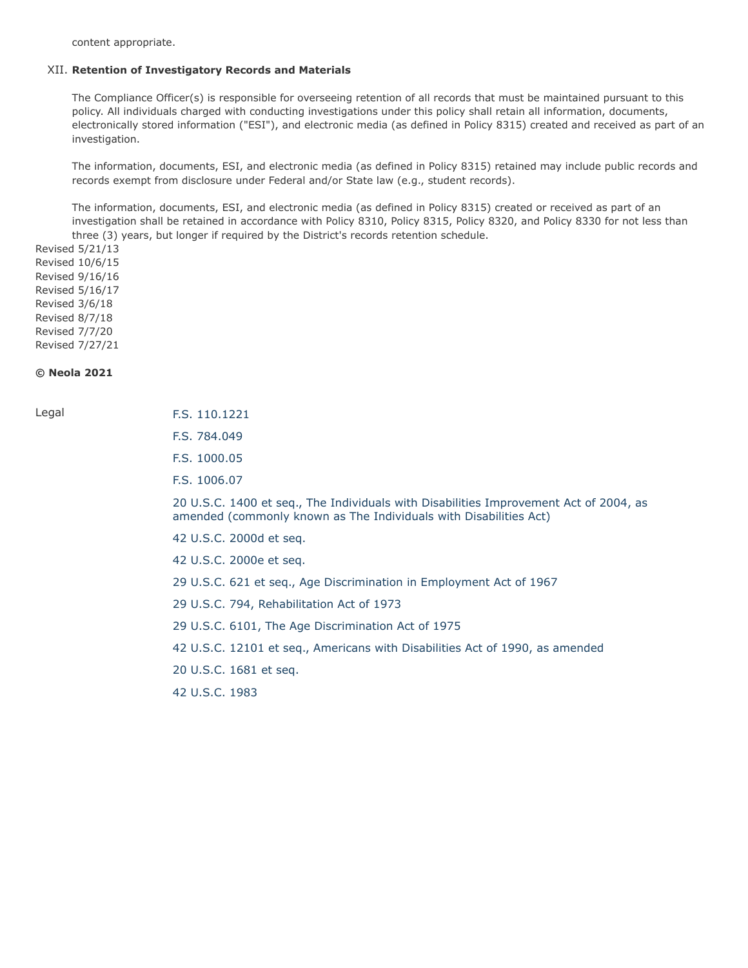content appropriate.

### XII. **Retention of Investigatory Records and Materials**

The Compliance Officer(s) is responsible for overseeing retention of all records that must be maintained pursuant to this policy. All individuals charged with conducting investigations under this policy shall retain all information, documents, electronically stored information ("ESI"), and electronic media (as defined in Policy 8315) created and received as part of an investigation.

The information, documents, ESI, and electronic media (as defined in Policy 8315) retained may include public records and records exempt from disclosure under Federal and/or State law (e.g., student records).

The information, documents, ESI, and electronic media (as defined in Policy 8315) created or received as part of an investigation shall be retained in accordance with Policy 8310, Policy 8315, Policy 8320, and Policy 8330 for not less than three (3) years, but longer if required by the District's records retention schedule.

Revised 5/21/13 Revised 10/6/15 Revised 9/16/16 Revised 5/16/17 Revised 3/6/18 Revised 8/7/18 Revised 7/7/20 Revised 7/27/21

### **© Neola 2021**

Legal

| E.S. 110.1221                                                                                                                                              |
|------------------------------------------------------------------------------------------------------------------------------------------------------------|
| F.S. 784.049                                                                                                                                               |
| E.S. 1000.05                                                                                                                                               |
| F.S. 1006.07                                                                                                                                               |
| 20 U.S.C. 1400 et seq., The Individuals with Disabilities Improvement Act of 2004, as<br>amended (commonly known as The Individuals with Disabilities Act) |
| 42 U.S.C. 2000d et seq.                                                                                                                                    |
| 42 U.S.C. 2000e et seq.                                                                                                                                    |
| 29 U.S.C. 621 et seq., Age Discrimination in Employment Act of 1967                                                                                        |
| 29 U.S.C. 794, Rehabilitation Act of 1973                                                                                                                  |
| 29 U.S.C. 6101, The Age Discrimination Act of 1975                                                                                                         |
| 42 U.S.C. 12101 et seq., Americans with Disabilities Act of 1990, as amended                                                                               |
| 20 U.S.C. 1681 et seq.                                                                                                                                     |
| 42 U.S.C. 1983                                                                                                                                             |
|                                                                                                                                                            |
|                                                                                                                                                            |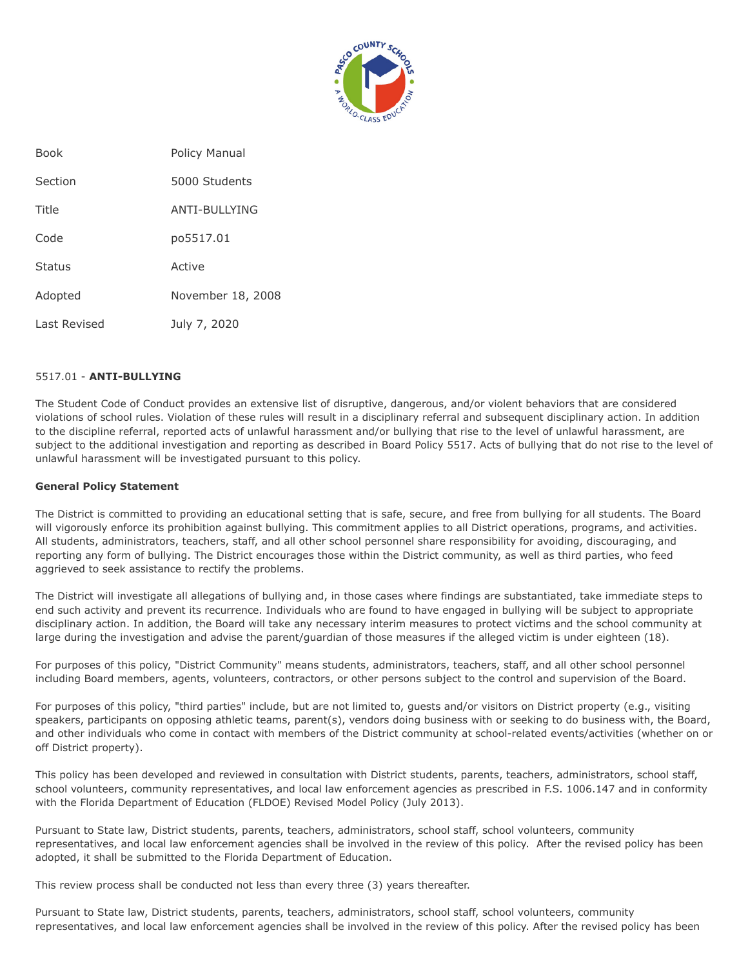

| <b>Book</b>   | Policy Manual     |
|---------------|-------------------|
| Section       | 5000 Students     |
| Title         | ANTI-BULLYING     |
| Code          | po5517.01         |
| <b>Status</b> | Active            |
| Adopted       | November 18, 2008 |
| Last Revised  | July 7, 2020      |

## 5517.01 - **ANTI-BULLYING**

The Student Code of Conduct provides an extensive list of disruptive, dangerous, and/or violent behaviors that are considered violations of school rules. Violation of these rules will result in a disciplinary referral and subsequent disciplinary action. In addition to the discipline referral, reported acts of unlawful harassment and/or bullying that rise to the level of unlawful harassment, are subject to the additional investigation and reporting as described in Board Policy 5517. Acts of bullying that do not rise to the level of unlawful harassment will be investigated pursuant to this policy.

### **General Policy Statement**

The District is committed to providing an educational setting that is safe, secure, and free from bullying for all students. The Board will vigorously enforce its prohibition against bullying. This commitment applies to all District operations, programs, and activities. All students, administrators, teachers, staff, and all other school personnel share responsibility for avoiding, discouraging, and reporting any form of bullying. The District encourages those within the District community, as well as third parties, who feed aggrieved to seek assistance to rectify the problems.

The District will investigate all allegations of bullying and, in those cases where findings are substantiated, take immediate steps to end such activity and prevent its recurrence. Individuals who are found to have engaged in bullying will be subject to appropriate disciplinary action. In addition, the Board will take any necessary interim measures to protect victims and the school community at large during the investigation and advise the parent/guardian of those measures if the alleged victim is under eighteen (18).

For purposes of this policy, "District Community" means students, administrators, teachers, staff, and all other school personnel including Board members, agents, volunteers, contractors, or other persons subject to the control and supervision of the Board.

For purposes of this policy, "third parties" include, but are not limited to, guests and/or visitors on District property (e.g., visiting speakers, participants on opposing athletic teams, parent(s), vendors doing business with or seeking to do business with, the Board, and other individuals who come in contact with members of the District community at school-related events/activities (whether on or off District property).

This policy has been developed and reviewed in consultation with District students, parents, teachers, administrators, school staff, school volunteers, community representatives, and local law enforcement agencies as prescribed in F.S. 1006.147 and in conformity with the Florida Department of Education (FLDOE) Revised Model Policy (July 2013).

Pursuant to State law, District students, parents, teachers, administrators, school staff, school volunteers, community representatives, and local law enforcement agencies shall be involved in the review of this policy. After the revised policy has been adopted, it shall be submitted to the Florida Department of Education.

This review process shall be conducted not less than every three (3) years thereafter.

Pursuant to State law, District students, parents, teachers, administrators, school staff, school volunteers, community representatives, and local law enforcement agencies shall be involved in the review of this policy. After the revised policy has been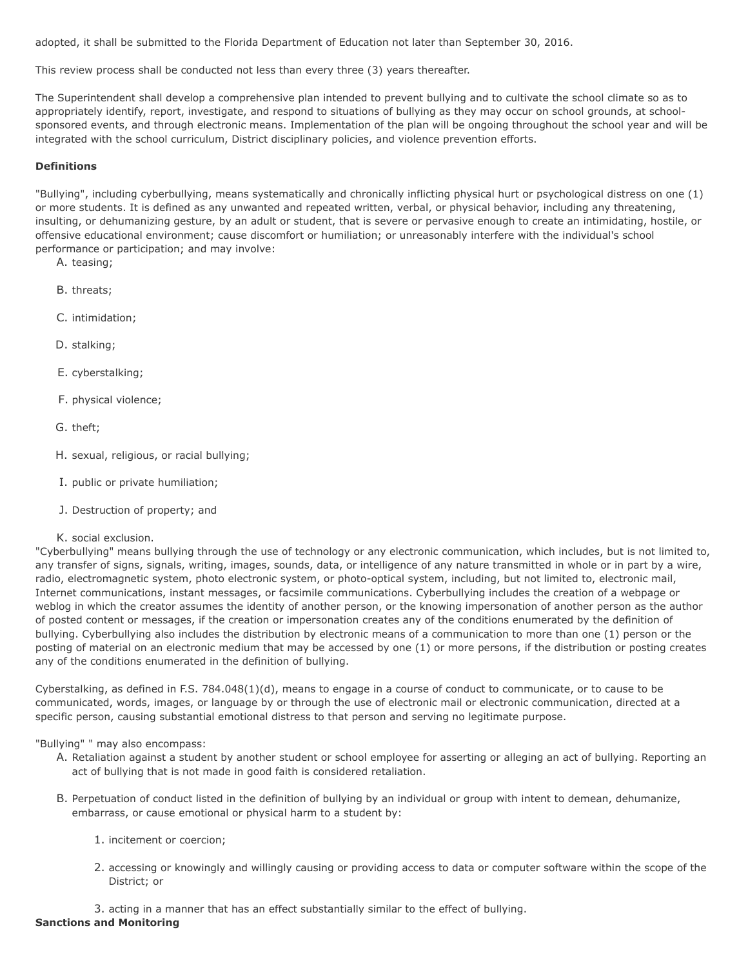adopted, it shall be submitted to the Florida Department of Education not later than September 30, 2016.

This review process shall be conducted not less than every three (3) years thereafter.

The Superintendent shall develop a comprehensive plan intended to prevent bullying and to cultivate the school climate so as to appropriately identify, report, investigate, and respond to situations of bullying as they may occur on school grounds, at schoolsponsored events, and through electronic means. Implementation of the plan will be ongoing throughout the school year and will be integrated with the school curriculum, District disciplinary policies, and violence prevention efforts.

### **Definitions**

"Bullying", including cyberbullying, means systematically and chronically inflicting physical hurt or psychological distress on one (1) or more students. It is defined as any unwanted and repeated written, verbal, or physical behavior, including any threatening, insulting, or dehumanizing gesture, by an adult or student, that is severe or pervasive enough to create an intimidating, hostile, or offensive educational environment; cause discomfort or humiliation; or unreasonably interfere with the individual's school performance or participation; and may involve:

- A. teasing;
- B. threats;
- C. intimidation;
- D. stalking;
- E. cyberstalking;
- F. physical violence;
- G. theft;
- H. sexual, religious, or racial bullying;
- I. public or private humiliation;
- J. Destruction of property; and
- K. social exclusion.

"Cyberbullying" means bullying through the use of technology or any electronic communication, which includes, but is not limited to, any transfer of signs, signals, writing, images, sounds, data, or intelligence of any nature transmitted in whole or in part by a wire, radio, electromagnetic system, photo electronic system, or photo-optical system, including, but not limited to, electronic mail, Internet communications, instant messages, or facsimile communications. Cyberbullying includes the creation of a webpage or weblog in which the creator assumes the identity of another person, or the knowing impersonation of another person as the author of posted content or messages, if the creation or impersonation creates any of the conditions enumerated by the definition of bullying. Cyberbullying also includes the distribution by electronic means of a communication to more than one (1) person or the posting of material on an electronic medium that may be accessed by one (1) or more persons, if the distribution or posting creates any of the conditions enumerated in the definition of bullying.

Cyberstalking, as defined in F.S. 784.048(1)(d), means to engage in a course of conduct to communicate, or to cause to be communicated, words, images, or language by or through the use of electronic mail or electronic communication, directed at a specific person, causing substantial emotional distress to that person and serving no legitimate purpose.

#### "Bullying" " may also encompass:

- A. Retaliation against a student by another student or school employee for asserting or alleging an act of bullying. Reporting an act of bullying that is not made in good faith is considered retaliation.
- B. Perpetuation of conduct listed in the definition of bullying by an individual or group with intent to demean, dehumanize, embarrass, or cause emotional or physical harm to a student by:
	- 1. incitement or coercion;
	- 2. accessing or knowingly and willingly causing or providing access to data or computer software within the scope of the District; or

3. acting in a manner that has an effect substantially similar to the effect of bullying.

#### **Sanctions and Monitoring**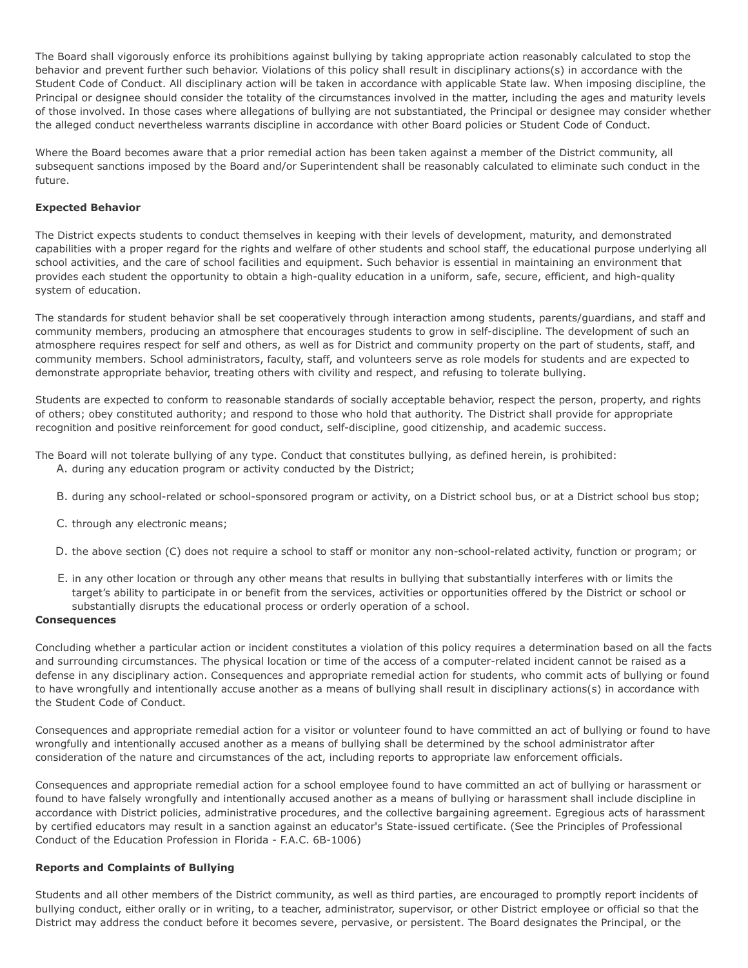The Board shall vigorously enforce its prohibitions against bullying by taking appropriate action reasonably calculated to stop the behavior and prevent further such behavior. Violations of this policy shall result in disciplinary actions(s) in accordance with the Student Code of Conduct. All disciplinary action will be taken in accordance with applicable State law. When imposing discipline, the Principal or designee should consider the totality of the circumstances involved in the matter, including the ages and maturity levels of those involved. In those cases where allegations of bullying are not substantiated, the Principal or designee may consider whether the alleged conduct nevertheless warrants discipline in accordance with other Board policies or Student Code of Conduct.

Where the Board becomes aware that a prior remedial action has been taken against a member of the District community, all subsequent sanctions imposed by the Board and/or Superintendent shall be reasonably calculated to eliminate such conduct in the future.

## **Expected Behavior**

The District expects students to conduct themselves in keeping with their levels of development, maturity, and demonstrated capabilities with a proper regard for the rights and welfare of other students and school staff, the educational purpose underlying all school activities, and the care of school facilities and equipment. Such behavior is essential in maintaining an environment that provides each student the opportunity to obtain a high-quality education in a uniform, safe, secure, efficient, and high-quality system of education.

The standards for student behavior shall be set cooperatively through interaction among students, parents/guardians, and staff and community members, producing an atmosphere that encourages students to grow in self-discipline. The development of such an atmosphere requires respect for self and others, as well as for District and community property on the part of students, staff, and community members. School administrators, faculty, staff, and volunteers serve as role models for students and are expected to demonstrate appropriate behavior, treating others with civility and respect, and refusing to tolerate bullying.

Students are expected to conform to reasonable standards of socially acceptable behavior, respect the person, property, and rights of others; obey constituted authority; and respond to those who hold that authority. The District shall provide for appropriate recognition and positive reinforcement for good conduct, self-discipline, good citizenship, and academic success.

The Board will not tolerate bullying of any type. Conduct that constitutes bullying, as defined herein, is prohibited:

- A. during any education program or activity conducted by the District;
- B. during any school-related or school-sponsored program or activity, on a District school bus, or at a District school bus stop;
- C. through any electronic means;
- D. the above section (C) does not require a school to staff or monitor any non-school-related activity, function or program; or
- E. in any other location or through any other means that results in bullying that substantially interferes with or limits the target's ability to participate in or benefit from the services, activities or opportunities offered by the District or school or substantially disrupts the educational process or orderly operation of a school.

## **Consequences**

Concluding whether a particular action or incident constitutes a violation of this policy requires a determination based on all the facts and surrounding circumstances. The physical location or time of the access of a computer-related incident cannot be raised as a defense in any disciplinary action. Consequences and appropriate remedial action for students, who commit acts of bullying or found to have wrongfully and intentionally accuse another as a means of bullying shall result in disciplinary actions(s) in accordance with the Student Code of Conduct.

Consequences and appropriate remedial action for a visitor or volunteer found to have committed an act of bullying or found to have wrongfully and intentionally accused another as a means of bullying shall be determined by the school administrator after consideration of the nature and circumstances of the act, including reports to appropriate law enforcement officials.

Consequences and appropriate remedial action for a school employee found to have committed an act of bullying or harassment or found to have falsely wrongfully and intentionally accused another as a means of bullying or harassment shall include discipline in accordance with District policies, administrative procedures, and the collective bargaining agreement. Egregious acts of harassment by certified educators may result in a sanction against an educator's State-issued certificate. (See the Principles of Professional Conduct of the Education Profession in Florida - F.A.C. 6B-1006)

# **Reports and Complaints of Bullying**

Students and all other members of the District community, as well as third parties, are encouraged to promptly report incidents of bullying conduct, either orally or in writing, to a teacher, administrator, supervisor, or other District employee or official so that the District may address the conduct before it becomes severe, pervasive, or persistent. The Board designates the Principal, or the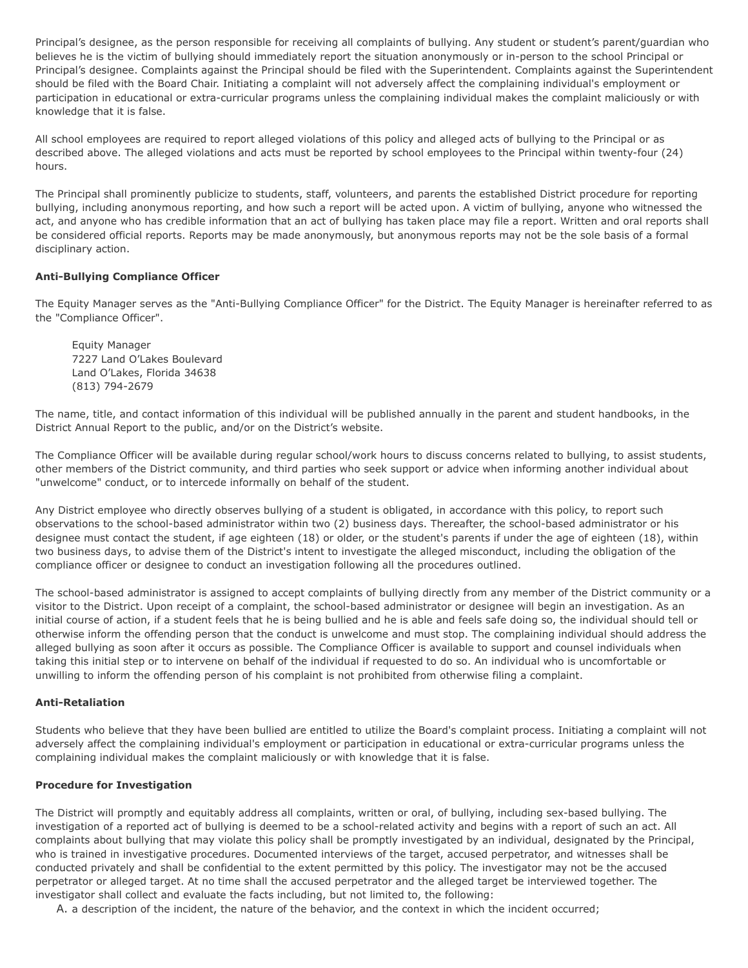Principal's designee, as the person responsible for receiving all complaints of bullying. Any student or student's parent/guardian who believes he is the victim of bullying should immediately report the situation anonymously or in-person to the school Principal or Principal's designee. Complaints against the Principal should be filed with the Superintendent. Complaints against the Superintendent should be filed with the Board Chair. Initiating a complaint will not adversely affect the complaining individual's employment or participation in educational or extra-curricular programs unless the complaining individual makes the complaint maliciously or with knowledge that it is false.

All school employees are required to report alleged violations of this policy and alleged acts of bullying to the Principal or as described above. The alleged violations and acts must be reported by school employees to the Principal within twenty-four (24) hours.

The Principal shall prominently publicize to students, staff, volunteers, and parents the established District procedure for reporting bullying, including anonymous reporting, and how such a report will be acted upon. A victim of bullying, anyone who witnessed the act, and anyone who has credible information that an act of bullying has taken place may file a report. Written and oral reports shall be considered official reports. Reports may be made anonymously, but anonymous reports may not be the sole basis of a formal disciplinary action.

## **Anti-Bullying Compliance Officer**

The Equity Manager serves as the "Anti-Bullying Compliance Officer" for the District. The Equity Manager is hereinafter referred to as the "Compliance Officer".

Equity Manager 7227 Land O'Lakes Boulevard Land O'Lakes, Florida 34638 (813) 794-2679

The name, title, and contact information of this individual will be published annually in the parent and student handbooks, in the District Annual Report to the public, and/or on the District's website.

The Compliance Officer will be available during regular school/work hours to discuss concerns related to bullying, to assist students, other members of the District community, and third parties who seek support or advice when informing another individual about "unwelcome" conduct, or to intercede informally on behalf of the student.

Any District employee who directly observes bullying of a student is obligated, in accordance with this policy, to report such observations to the school-based administrator within two (2) business days. Thereafter, the school-based administrator or his designee must contact the student, if age eighteen (18) or older, or the student's parents if under the age of eighteen (18), within two business days, to advise them of the District's intent to investigate the alleged misconduct, including the obligation of the compliance officer or designee to conduct an investigation following all the procedures outlined.

The school-based administrator is assigned to accept complaints of bullying directly from any member of the District community or a visitor to the District. Upon receipt of a complaint, the school-based administrator or designee will begin an investigation. As an initial course of action, if a student feels that he is being bullied and he is able and feels safe doing so, the individual should tell or otherwise inform the offending person that the conduct is unwelcome and must stop. The complaining individual should address the alleged bullying as soon after it occurs as possible. The Compliance Officer is available to support and counsel individuals when taking this initial step or to intervene on behalf of the individual if requested to do so. An individual who is uncomfortable or unwilling to inform the offending person of his complaint is not prohibited from otherwise filing a complaint.

## **Anti-Retaliation**

Students who believe that they have been bullied are entitled to utilize the Board's complaint process. Initiating a complaint will not adversely affect the complaining individual's employment or participation in educational or extra-curricular programs unless the complaining individual makes the complaint maliciously or with knowledge that it is false.

## **Procedure for Investigation**

The District will promptly and equitably address all complaints, written or oral, of bullying, including sex-based bullying. The investigation of a reported act of bullying is deemed to be a school-related activity and begins with a report of such an act. All complaints about bullying that may violate this policy shall be promptly investigated by an individual, designated by the Principal, who is trained in investigative procedures. Documented interviews of the target, accused perpetrator, and witnesses shall be conducted privately and shall be confidential to the extent permitted by this policy. The investigator may not be the accused perpetrator or alleged target. At no time shall the accused perpetrator and the alleged target be interviewed together. The investigator shall collect and evaluate the facts including, but not limited to, the following:

A. a description of the incident, the nature of the behavior, and the context in which the incident occurred;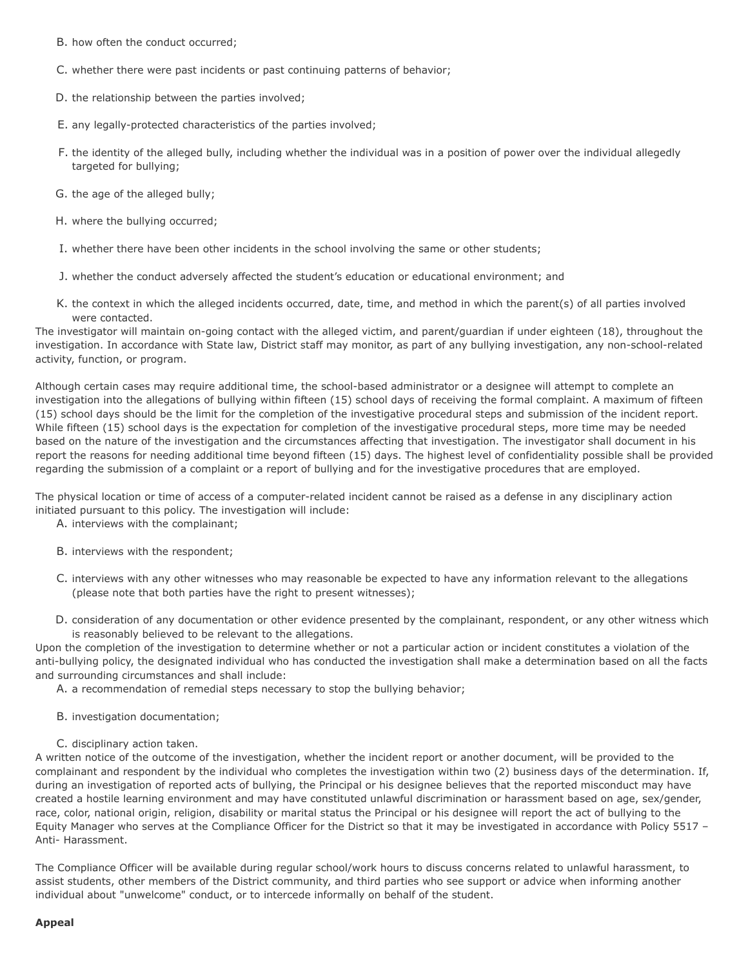- B. how often the conduct occurred;
- C. whether there were past incidents or past continuing patterns of behavior;
- D. the relationship between the parties involved;
- E. any legally-protected characteristics of the parties involved;
- F. the identity of the alleged bully, including whether the individual was in a position of power over the individual allegedly targeted for bullying;
- G. the age of the alleged bully;
- H. where the bullying occurred;
- I. whether there have been other incidents in the school involving the same or other students;
- J. whether the conduct adversely affected the student's education or educational environment; and
- K. the context in which the alleged incidents occurred, date, time, and method in which the parent(s) of all parties involved were contacted.

The investigator will maintain on-going contact with the alleged victim, and parent/guardian if under eighteen (18), throughout the investigation. In accordance with State law, District staff may monitor, as part of any bullying investigation, any non-school-related activity, function, or program.

Although certain cases may require additional time, the school-based administrator or a designee will attempt to complete an investigation into the allegations of bullying within fifteen (15) school days of receiving the formal complaint. A maximum of fifteen (15) school days should be the limit for the completion of the investigative procedural steps and submission of the incident report. While fifteen (15) school days is the expectation for completion of the investigative procedural steps, more time may be needed based on the nature of the investigation and the circumstances affecting that investigation. The investigator shall document in his report the reasons for needing additional time beyond fifteen (15) days. The highest level of confidentiality possible shall be provided regarding the submission of a complaint or a report of bullying and for the investigative procedures that are employed.

The physical location or time of access of a computer-related incident cannot be raised as a defense in any disciplinary action initiated pursuant to this policy. The investigation will include:

- A. interviews with the complainant;
- B. interviews with the respondent;
- C. interviews with any other witnesses who may reasonable be expected to have any information relevant to the allegations (please note that both parties have the right to present witnesses);
- D. consideration of any documentation or other evidence presented by the complainant, respondent, or any other witness which is reasonably believed to be relevant to the allegations.

Upon the completion of the investigation to determine whether or not a particular action or incident constitutes a violation of the anti-bullying policy, the designated individual who has conducted the investigation shall make a determination based on all the facts and surrounding circumstances and shall include:

A. a recommendation of remedial steps necessary to stop the bullying behavior;

- B. investigation documentation;
- C. disciplinary action taken.

A written notice of the outcome of the investigation, whether the incident report or another document, will be provided to the complainant and respondent by the individual who completes the investigation within two (2) business days of the determination. If, during an investigation of reported acts of bullying, the Principal or his designee believes that the reported misconduct may have created a hostile learning environment and may have constituted unlawful discrimination or harassment based on age, sex/gender, race, color, national origin, religion, disability or marital status the Principal or his designee will report the act of bullying to the Equity Manager who serves at the Compliance Officer for the District so that it may be investigated in accordance with Policy 5517 – Anti- Harassment.

The Compliance Officer will be available during regular school/work hours to discuss concerns related to unlawful harassment, to assist students, other members of the District community, and third parties who see support or advice when informing another individual about "unwelcome" conduct, or to intercede informally on behalf of the student.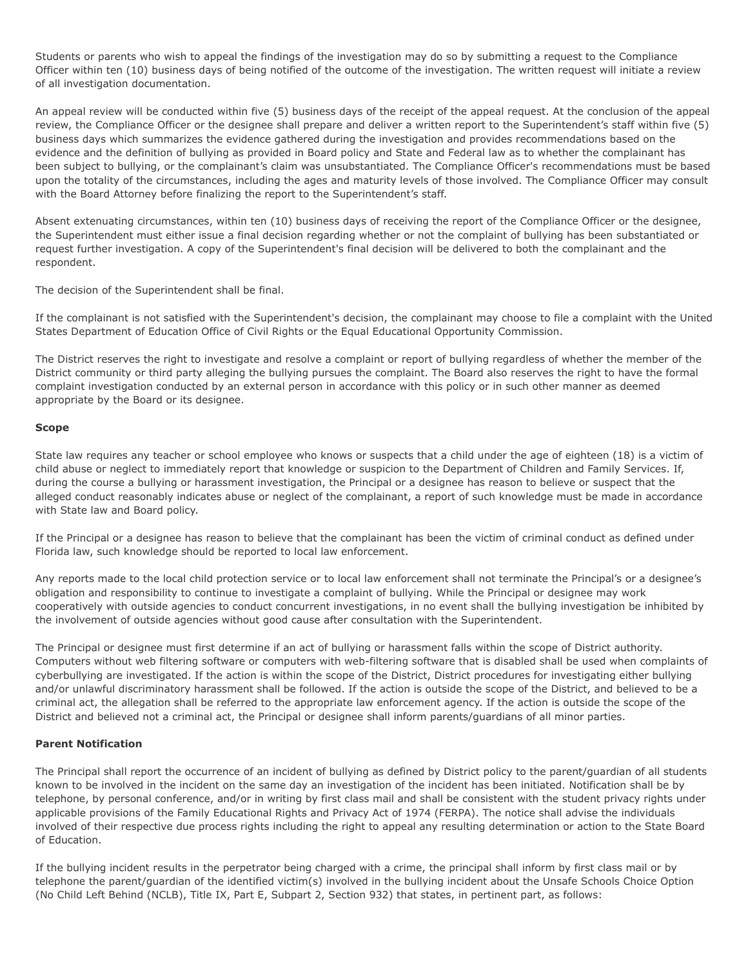Students or parents who wish to appeal the findings of the investigation may do so by submitting a request to the Compliance Officer within ten (10) business days of being notified of the outcome of the investigation. The written request will initiate a review of all investigation documentation.

An appeal review will be conducted within five (5) business days of the receipt of the appeal request. At the conclusion of the appeal review, the Compliance Officer or the designee shall prepare and deliver a written report to the Superintendent's staff within five (5) business days which summarizes the evidence gathered during the investigation and provides recommendations based on the evidence and the definition of bullying as provided in Board policy and State and Federal law as to whether the complainant has been subject to bullying, or the complainant's claim was unsubstantiated. The Compliance Officer's recommendations must be based upon the totality of the circumstances, including the ages and maturity levels of those involved. The Compliance Officer may consult with the Board Attorney before finalizing the report to the Superintendent's staff.

Absent extenuating circumstances, within ten (10) business days of receiving the report of the Compliance Officer or the designee, the Superintendent must either issue a final decision regarding whether or not the complaint of bullying has been substantiated or request further investigation. A copy of the Superintendent's final decision will be delivered to both the complainant and the respondent.

The decision of the Superintendent shall be final.

If the complainant is not satisfied with the Superintendent's decision, the complainant may choose to file a complaint with the United States Department of Education Office of Civil Rights or the Equal Educational Opportunity Commission.

The District reserves the right to investigate and resolve a complaint or report of bullying regardless of whether the member of the District community or third party alleging the bullying pursues the complaint. The Board also reserves the right to have the formal complaint investigation conducted by an external person in accordance with this policy or in such other manner as deemed appropriate by the Board or its designee.

### **Scope**

State law requires any teacher or school employee who knows or suspects that a child under the age of eighteen (18) is a victim of child abuse or neglect to immediately report that knowledge or suspicion to the Department of Children and Family Services. If, during the course a bullying or harassment investigation, the Principal or a designee has reason to believe or suspect that the alleged conduct reasonably indicates abuse or neglect of the complainant, a report of such knowledge must be made in accordance with State law and Board policy.

If the Principal or a designee has reason to believe that the complainant has been the victim of criminal conduct as defined under Florida law, such knowledge should be reported to local law enforcement.

Any reports made to the local child protection service or to local law enforcement shall not terminate the Principal's or a designee's obligation and responsibility to continue to investigate a complaint of bullying. While the Principal or designee may work cooperatively with outside agencies to conduct concurrent investigations, in no event shall the bullying investigation be inhibited by the involvement of outside agencies without good cause after consultation with the Superintendent.

The Principal or designee must first determine if an act of bullying or harassment falls within the scope of District authority. Computers without web filtering software or computers with web-filtering software that is disabled shall be used when complaints of cyberbullying are investigated. If the action is within the scope of the District, District procedures for investigating either bullying and/or unlawful discriminatory harassment shall be followed. If the action is outside the scope of the District, and believed to be a criminal act, the allegation shall be referred to the appropriate law enforcement agency. If the action is outside the scope of the District and believed not a criminal act, the Principal or designee shall inform parents/guardians of all minor parties.

## **Parent Notification**

The Principal shall report the occurrence of an incident of bullying as defined by District policy to the parent/guardian of all students known to be involved in the incident on the same day an investigation of the incident has been initiated. Notification shall be by telephone, by personal conference, and/or in writing by first class mail and shall be consistent with the student privacy rights under applicable provisions of the Family Educational Rights and Privacy Act of 1974 (FERPA). The notice shall advise the individuals involved of their respective due process rights including the right to appeal any resulting determination or action to the State Board of Education.

If the bullying incident results in the perpetrator being charged with a crime, the principal shall inform by first class mail or by telephone the parent/guardian of the identified victim(s) involved in the bullying incident about the Unsafe Schools Choice Option (No Child Left Behind (NCLB), Title IX, Part E, Subpart 2, Section 932) that states, in pertinent part, as follows: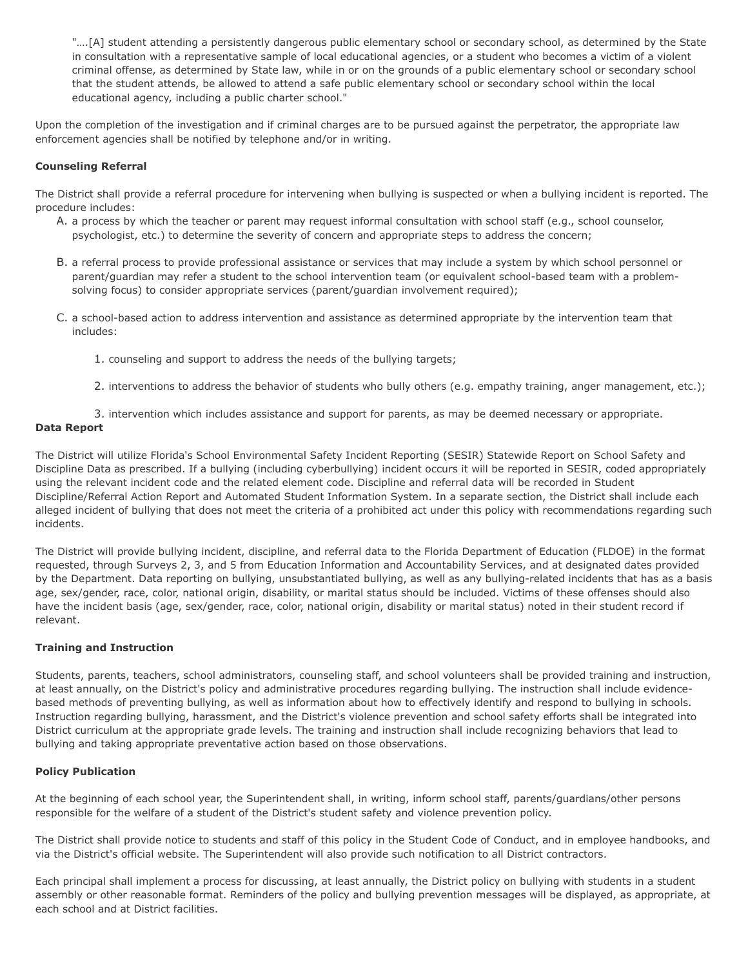"….[A] student attending a persistently dangerous public elementary school or secondary school, as determined by the State in consultation with a representative sample of local educational agencies, or a student who becomes a victim of a violent criminal offense, as determined by State law, while in or on the grounds of a public elementary school or secondary school that the student attends, be allowed to attend a safe public elementary school or secondary school within the local educational agency, including a public charter school."

Upon the completion of the investigation and if criminal charges are to be pursued against the perpetrator, the appropriate law enforcement agencies shall be notified by telephone and/or in writing.

# **Counseling Referral**

The District shall provide a referral procedure for intervening when bullying is suspected or when a bullying incident is reported. The procedure includes:

- A. a process by which the teacher or parent may request informal consultation with school staff (e.g., school counselor, psychologist, etc.) to determine the severity of concern and appropriate steps to address the concern;
- B. a referral process to provide professional assistance or services that may include a system by which school personnel or parent/guardian may refer a student to the school intervention team (or equivalent school-based team with a problemsolving focus) to consider appropriate services (parent/guardian involvement required);
- C. a school-based action to address intervention and assistance as determined appropriate by the intervention team that includes:
	- 1. counseling and support to address the needs of the bullying targets;
	- 2. interventions to address the behavior of students who bully others (e.g. empathy training, anger management, etc.);
	- 3. intervention which includes assistance and support for parents, as may be deemed necessary or appropriate.

# **Data Report**

The District will utilize Florida's School Environmental Safety Incident Reporting (SESIR) Statewide Report on School Safety and Discipline Data as prescribed. If a bullying (including cyberbullying) incident occurs it will be reported in SESIR, coded appropriately using the relevant incident code and the related element code. Discipline and referral data will be recorded in Student Discipline/Referral Action Report and Automated Student Information System. In a separate section, the District shall include each alleged incident of bullying that does not meet the criteria of a prohibited act under this policy with recommendations regarding such incidents.

The District will provide bullying incident, discipline, and referral data to the Florida Department of Education (FLDOE) in the format requested, through Surveys 2, 3, and 5 from Education Information and Accountability Services, and at designated dates provided by the Department. Data reporting on bullying, unsubstantiated bullying, as well as any bullying-related incidents that has as a basis age, sex/gender, race, color, national origin, disability, or marital status should be included. Victims of these offenses should also have the incident basis (age, sex/gender, race, color, national origin, disability or marital status) noted in their student record if relevant.

## **Training and Instruction**

Students, parents, teachers, school administrators, counseling staff, and school volunteers shall be provided training and instruction, at least annually, on the District's policy and administrative procedures regarding bullying. The instruction shall include evidencebased methods of preventing bullying, as well as information about how to effectively identify and respond to bullying in schools. Instruction regarding bullying, harassment, and the District's violence prevention and school safety efforts shall be integrated into District curriculum at the appropriate grade levels. The training and instruction shall include recognizing behaviors that lead to bullying and taking appropriate preventative action based on those observations.

## **Policy Publication**

At the beginning of each school year, the Superintendent shall, in writing, inform school staff, parents/guardians/other persons responsible for the welfare of a student of the District's student safety and violence prevention policy.

The District shall provide notice to students and staff of this policy in the Student Code of Conduct, and in employee handbooks, and via the District's official website. The Superintendent will also provide such notification to all District contractors.

Each principal shall implement a process for discussing, at least annually, the District policy on bullying with students in a student assembly or other reasonable format. Reminders of the policy and bullying prevention messages will be displayed, as appropriate, at each school and at District facilities.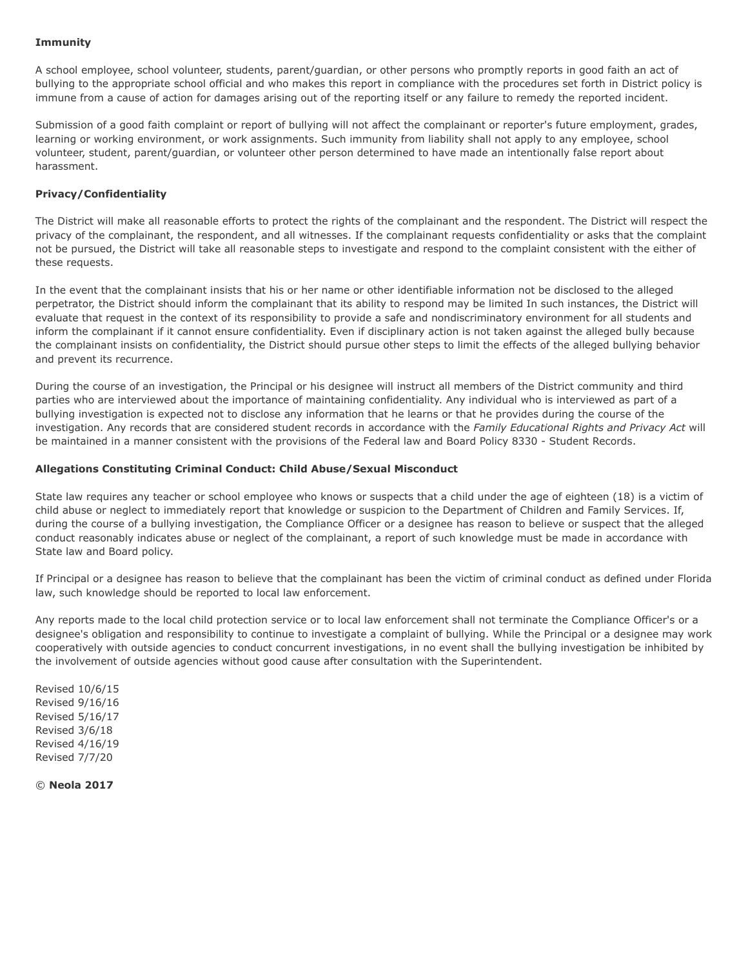## **Immunity**

A school employee, school volunteer, students, parent/guardian, or other persons who promptly reports in good faith an act of bullying to the appropriate school official and who makes this report in compliance with the procedures set forth in District policy is immune from a cause of action for damages arising out of the reporting itself or any failure to remedy the reported incident.

Submission of a good faith complaint or report of bullying will not affect the complainant or reporter's future employment, grades, learning or working environment, or work assignments. Such immunity from liability shall not apply to any employee, school volunteer, student, parent/guardian, or volunteer other person determined to have made an intentionally false report about harassment.

# **Privacy/Confidentiality**

The District will make all reasonable efforts to protect the rights of the complainant and the respondent. The District will respect the privacy of the complainant, the respondent, and all witnesses. If the complainant requests confidentiality or asks that the complaint not be pursued, the District will take all reasonable steps to investigate and respond to the complaint consistent with the either of these requests.

In the event that the complainant insists that his or her name or other identifiable information not be disclosed to the alleged perpetrator, the District should inform the complainant that its ability to respond may be limited In such instances, the District will evaluate that request in the context of its responsibility to provide a safe and nondiscriminatory environment for all students and inform the complainant if it cannot ensure confidentiality. Even if disciplinary action is not taken against the alleged bully because the complainant insists on confidentiality, the District should pursue other steps to limit the effects of the alleged bullying behavior and prevent its recurrence.

During the course of an investigation, the Principal or his designee will instruct all members of the District community and third parties who are interviewed about the importance of maintaining confidentiality. Any individual who is interviewed as part of a bullying investigation is expected not to disclose any information that he learns or that he provides during the course of the investigation. Any records that are considered student records in accordance with the *Family Educational Rights and Privacy Act* will be maintained in a manner consistent with the provisions of the Federal law and Board Policy 8330 - Student Records.

## **Allegations Constituting Criminal Conduct: Child Abuse/Sexual Misconduct**

State law requires any teacher or school employee who knows or suspects that a child under the age of eighteen (18) is a victim of child abuse or neglect to immediately report that knowledge or suspicion to the Department of Children and Family Services. If, during the course of a bullying investigation, the Compliance Officer or a designee has reason to believe or suspect that the alleged conduct reasonably indicates abuse or neglect of the complainant, a report of such knowledge must be made in accordance with State law and Board policy.

If Principal or a designee has reason to believe that the complainant has been the victim of criminal conduct as defined under Florida law, such knowledge should be reported to local law enforcement.

Any reports made to the local child protection service or to local law enforcement shall not terminate the Compliance Officer's or a designee's obligation and responsibility to continue to investigate a complaint of bullying. While the Principal or a designee may work cooperatively with outside agencies to conduct concurrent investigations, in no event shall the bullying investigation be inhibited by the involvement of outside agencies without good cause after consultation with the Superintendent.

Revised 10/6/15 Revised 9/16/16 Revised 5/16/17 Revised 3/6/18 Revised 4/16/19 Revised 7/7/20

© **Neola 2017**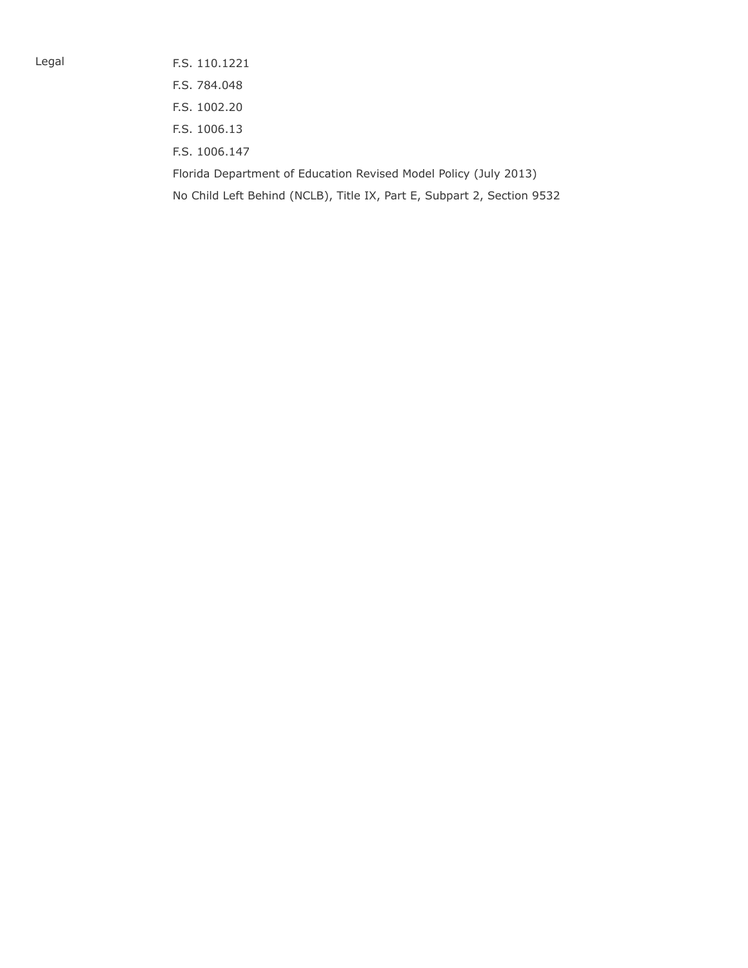Legal F.S. 110.1221 F.S. 784.048 F.S. 1002.20 F.S. 1006.13 F.S. 1006.147 Florida Department of Education Revised Model Policy (July 2013)

No Child Left Behind (NCLB), Title IX, Part E, Subpart 2, Section 9532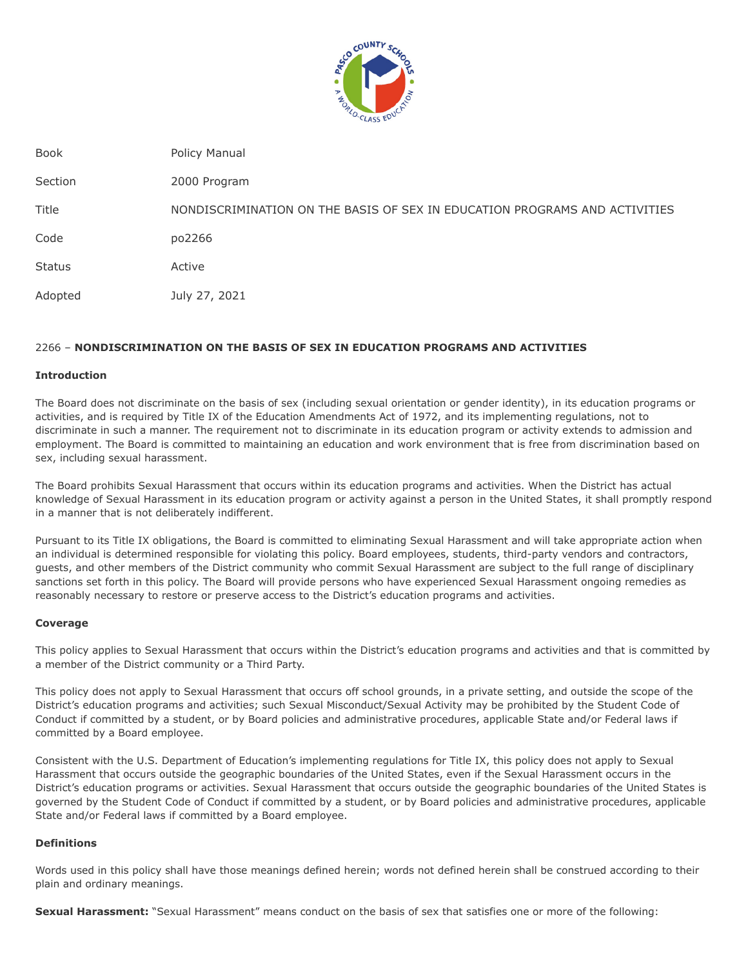

Book **Policy Manual** Section 2000 Program

Title NONDISCRIMINATION ON THE BASIS OF SEX IN EDUCATION PROGRAMS AND ACTIVITIES

Code po2266

Status Active

Adopted July 27, 2021

# 2266 – **NONDISCRIMINATION ON THE BASIS OF SEX IN EDUCATION PROGRAMS AND ACTIVITIES**

# **Introduction**

The Board does not discriminate on the basis of sex (including sexual orientation or gender identity), in its education programs or activities, and is required by Title IX of the Education Amendments Act of 1972, and its implementing regulations, not to discriminate in such a manner. The requirement not to discriminate in its education program or activity extends to admission and employment. The Board is committed to maintaining an education and work environment that is free from discrimination based on sex, including sexual harassment.

The Board prohibits Sexual Harassment that occurs within its education programs and activities. When the District has actual knowledge of Sexual Harassment in its education program or activity against a person in the United States, it shall promptly respond in a manner that is not deliberately indifferent.

Pursuant to its Title IX obligations, the Board is committed to eliminating Sexual Harassment and will take appropriate action when an individual is determined responsible for violating this policy. Board employees, students, third-party vendors and contractors, guests, and other members of the District community who commit Sexual Harassment are subject to the full range of disciplinary sanctions set forth in this policy. The Board will provide persons who have experienced Sexual Harassment ongoing remedies as reasonably necessary to restore or preserve access to the District's education programs and activities.

# **Coverage**

This policy applies to Sexual Harassment that occurs within the District's education programs and activities and that is committed by a member of the District community or a Third Party.

This policy does not apply to Sexual Harassment that occurs off school grounds, in a private setting, and outside the scope of the District's education programs and activities; such Sexual Misconduct/Sexual Activity may be prohibited by the Student Code of Conduct if committed by a student, or by Board policies and administrative procedures, applicable State and/or Federal laws if committed by a Board employee.

Consistent with the U.S. Department of Education's implementing regulations for Title IX, this policy does not apply to Sexual Harassment that occurs outside the geographic boundaries of the United States, even if the Sexual Harassment occurs in the District's education programs or activities. Sexual Harassment that occurs outside the geographic boundaries of the United States is governed by the Student Code of Conduct if committed by a student, or by Board policies and administrative procedures, applicable State and/or Federal laws if committed by a Board employee.

# **Definitions**

Words used in this policy shall have those meanings defined herein; words not defined herein shall be construed according to their plain and ordinary meanings.

**Sexual Harassment:** "Sexual Harassment" means conduct on the basis of sex that satisfies one or more of the following: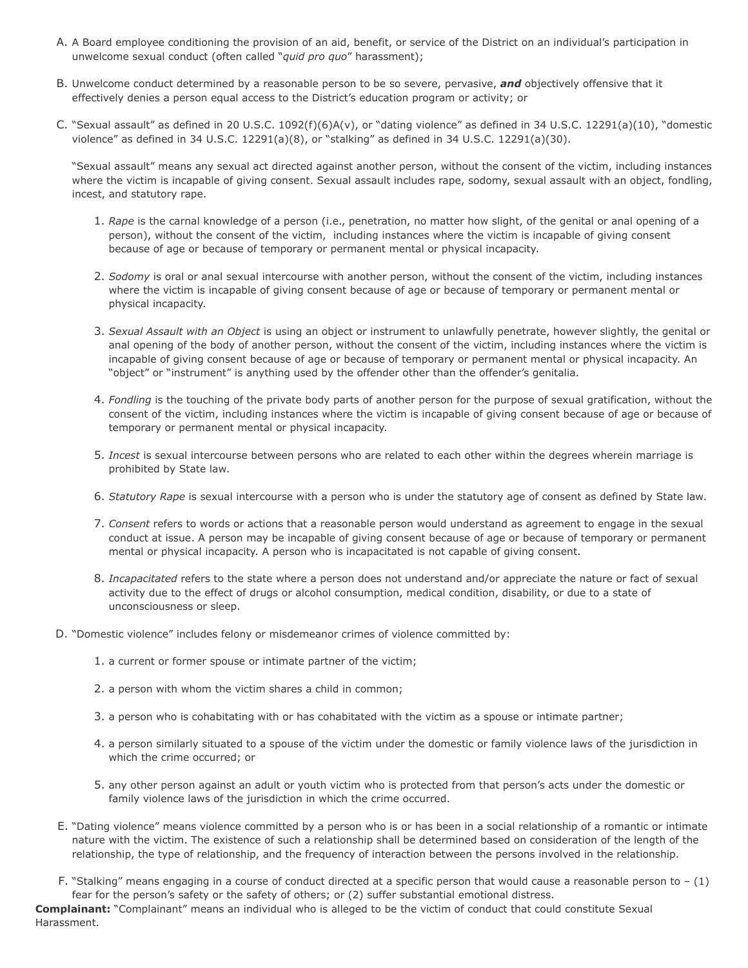- A. A Board employee conditioning the provision of an aid, benefit, or service of the District on an individual's participation in unwelcome sexual conduct (often called "*quid pro quo*" harassment);
- B. Unwelcome conduct determined by a reasonable person to be so severe, pervasive, *and* objectively offensive that it effectively denies a person equal access to the District's education program or activity; or
- C. "Sexual assault" as defined in 20 U.S.C. 1092(f)(6)A(v), or "dating violence" as defined in 34 U.S.C. 12291(a)(10), "domestic violence" as defined in 34 U.S.C. 12291(a)(8), or "stalking" as defined in 34 U.S.C. 12291(a)(30).

"Sexual assault" means any sexual act directed against another person, without the consent of the victim, including instances where the victim is incapable of giving consent. Sexual assault includes rape, sodomy, sexual assault with an object, fondling, incest, and statutory rape.

- 1. *Rape* is the carnal knowledge of a person (i.e., penetration, no matter how slight, of the genital or anal opening of a person), without the consent of the victim, including instances where the victim is incapable of giving consent because of age or because of temporary or permanent mental or physical incapacity.
- 2. *Sodomy* is oral or anal sexual intercourse with another person, without the consent of the victim, including instances where the victim is incapable of giving consent because of age or because of temporary or permanent mental or physical incapacity.
- 3. *Sexual Assault with an Object* is using an object or instrument to unlawfully penetrate, however slightly, the genital or anal opening of the body of another person, without the consent of the victim, including instances where the victim is incapable of giving consent because of age or because of temporary or permanent mental or physical incapacity. An "object" or "instrument" is anything used by the offender other than the offender's genitalia.
- 4. *Fondling* is the touching of the private body parts of another person for the purpose of sexual gratification, without the consent of the victim, including instances where the victim is incapable of giving consent because of age or because of temporary or permanent mental or physical incapacity.
- 5. *Incest* is sexual intercourse between persons who are related to each other within the degrees wherein marriage is prohibited by State law.
- 6. *Statutory Rape* is sexual intercourse with a person who is under the statutory age of consent as defined by State law.
- 7. *Consent* refers to words or actions that a reasonable person would understand as agreement to engage in the sexual conduct at issue. A person may be incapable of giving consent because of age or because of temporary or permanent mental or physical incapacity. A person who is incapacitated is not capable of giving consent.
- 8. *Incapacitated* refers to the state where a person does not understand and/or appreciate the nature or fact of sexual activity due to the effect of drugs or alcohol consumption, medical condition, disability, or due to a state of unconsciousness or sleep.
- D. "Domestic violence" includes felony or misdemeanor crimes of violence committed by:
	- 1. a current or former spouse or intimate partner of the victim;
	- 2. a person with whom the victim shares a child in common;
	- 3. a person who is cohabitating with or has cohabitated with the victim as a spouse or intimate partner;
	- 4. a person similarly situated to a spouse of the victim under the domestic or family violence laws of the jurisdiction in which the crime occurred; or
	- 5. any other person against an adult or youth victim who is protected from that person's acts under the domestic or family violence laws of the jurisdiction in which the crime occurred.
- E. "Dating violence" means violence committed by a person who is or has been in a social relationship of a romantic or intimate nature with the victim. The existence of such a relationship shall be determined based on consideration of the length of the relationship, the type of relationship, and the frequency of interaction between the persons involved in the relationship.
- F. "Stalking" means engaging in a course of conduct directed at a specific person that would cause a reasonable person to (1) fear for the person's safety or the safety of others; or (2) suffer substantial emotional distress.

**Complainant:** "Complainant" means an individual who is alleged to be the victim of conduct that could constitute Sexual Harassment.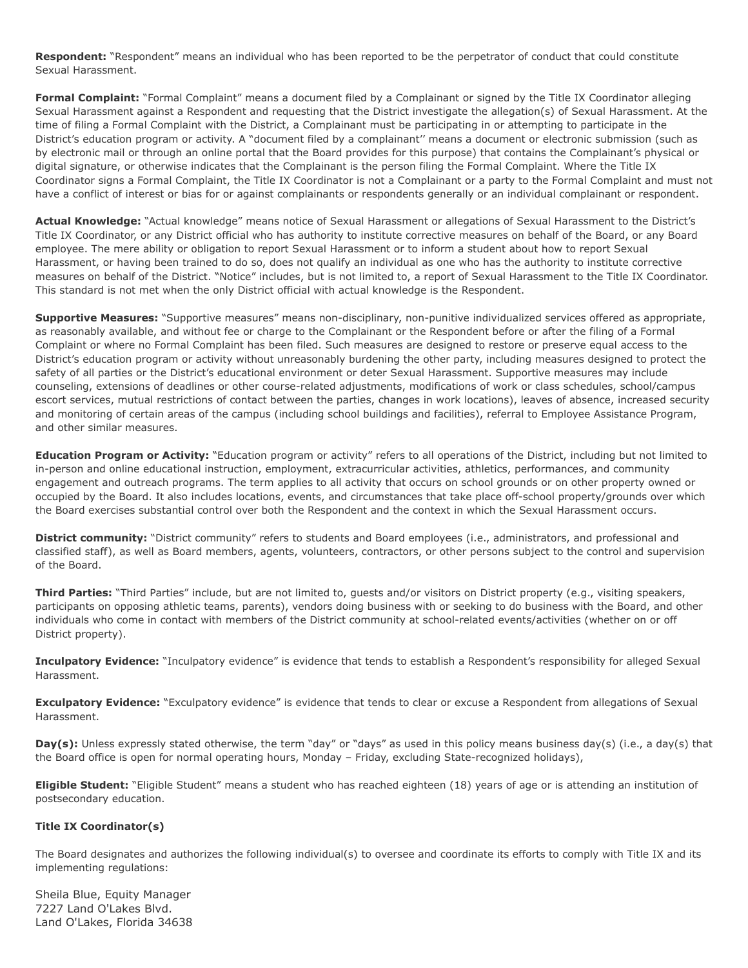**Respondent:** "Respondent" means an individual who has been reported to be the perpetrator of conduct that could constitute Sexual Harassment.

**Formal Complaint:** "Formal Complaint" means a document filed by a Complainant or signed by the Title IX Coordinator alleging Sexual Harassment against a Respondent and requesting that the District investigate the allegation(s) of Sexual Harassment. At the time of filing a Formal Complaint with the District, a Complainant must be participating in or attempting to participate in the District's education program or activity. A "document filed by a complainant'' means a document or electronic submission (such as by electronic mail or through an online portal that the Board provides for this purpose) that contains the Complainant's physical or digital signature, or otherwise indicates that the Complainant is the person filing the Formal Complaint. Where the Title IX Coordinator signs a Formal Complaint, the Title IX Coordinator is not a Complainant or a party to the Formal Complaint and must not have a conflict of interest or bias for or against complainants or respondents generally or an individual complainant or respondent.

**Actual Knowledge:** "Actual knowledge" means notice of Sexual Harassment or allegations of Sexual Harassment to the District's Title IX Coordinator, or any District official who has authority to institute corrective measures on behalf of the Board, or any Board employee. The mere ability or obligation to report Sexual Harassment or to inform a student about how to report Sexual Harassment, or having been trained to do so, does not qualify an individual as one who has the authority to institute corrective measures on behalf of the District. "Notice" includes, but is not limited to, a report of Sexual Harassment to the Title IX Coordinator. This standard is not met when the only District official with actual knowledge is the Respondent.

**Supportive Measures:** "Supportive measures" means non-disciplinary, non-punitive individualized services offered as appropriate, as reasonably available, and without fee or charge to the Complainant or the Respondent before or after the filing of a Formal Complaint or where no Formal Complaint has been filed. Such measures are designed to restore or preserve equal access to the District's education program or activity without unreasonably burdening the other party, including measures designed to protect the safety of all parties or the District's educational environment or deter Sexual Harassment. Supportive measures may include counseling, extensions of deadlines or other course-related adjustments, modifications of work or class schedules, school/campus escort services, mutual restrictions of contact between the parties, changes in work locations), leaves of absence, increased security and monitoring of certain areas of the campus (including school buildings and facilities), referral to Employee Assistance Program, and other similar measures.

**Education Program or Activity:** "Education program or activity" refers to all operations of the District, including but not limited to in-person and online educational instruction, employment, extracurricular activities, athletics, performances, and community engagement and outreach programs. The term applies to all activity that occurs on school grounds or on other property owned or occupied by the Board. It also includes locations, events, and circumstances that take place off-school property/grounds over which the Board exercises substantial control over both the Respondent and the context in which the Sexual Harassment occurs.

**District community:** "District community" refers to students and Board employees (i.e., administrators, and professional and classified staff), as well as Board members, agents, volunteers, contractors, or other persons subject to the control and supervision of the Board.

**Third Parties:** "Third Parties" include, but are not limited to, guests and/or visitors on District property (e.g., visiting speakers, participants on opposing athletic teams, parents), vendors doing business with or seeking to do business with the Board, and other individuals who come in contact with members of the District community at school-related events/activities (whether on or off District property).

**Inculpatory Evidence:** "Inculpatory evidence" is evidence that tends to establish a Respondent's responsibility for alleged Sexual Harassment.

**Exculpatory Evidence:** "Exculpatory evidence" is evidence that tends to clear or excuse a Respondent from allegations of Sexual Harassment.

**Day(s):** Unless expressly stated otherwise, the term "day" or "days" as used in this policy means business day(s) (i.e., a day(s) that the Board office is open for normal operating hours, Monday – Friday, excluding State-recognized holidays),

**Eligible Student:** "Eligible Student" means a student who has reached eighteen (18) years of age or is attending an institution of postsecondary education.

# **Title IX Coordinator(s)**

The Board designates and authorizes the following individual(s) to oversee and coordinate its efforts to comply with Title IX and its implementing regulations:

Sheila Blue, Equity Manager 7227 Land O'Lakes Blvd. Land O'Lakes, Florida 34638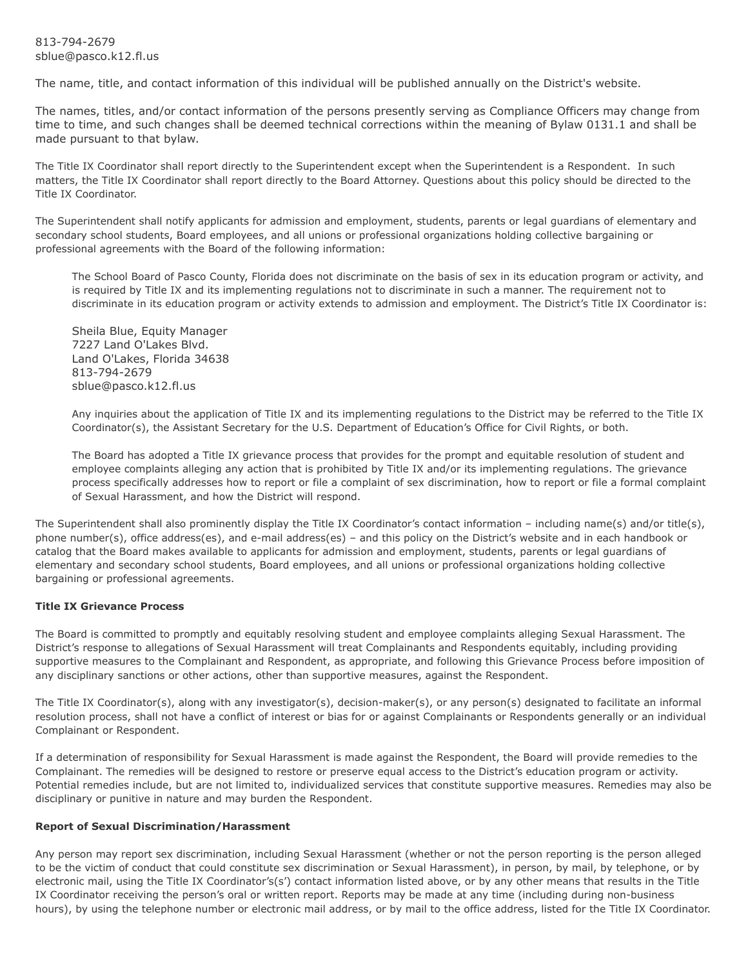813-794-2679 sblue@pasco.k12.fl.us

The name, title, and contact information of this individual will be published annually on the District's website.

The names, titles, and/or contact information of the persons presently serving as Compliance Officers may change from time to time, and such changes shall be deemed technical corrections within the meaning of Bylaw 0131.1 and shall be made pursuant to that bylaw.

The Title IX Coordinator shall report directly to the Superintendent except when the Superintendent is a Respondent. In such matters, the Title IX Coordinator shall report directly to the Board Attorney. Questions about this policy should be directed to the Title IX Coordinator.

The Superintendent shall notify applicants for admission and employment, students, parents or legal guardians of elementary and secondary school students, Board employees, and all unions or professional organizations holding collective bargaining or professional agreements with the Board of the following information:

The School Board of Pasco County, Florida does not discriminate on the basis of sex in its education program or activity, and is required by Title IX and its implementing regulations not to discriminate in such a manner. The requirement not to discriminate in its education program or activity extends to admission and employment. The District's Title IX Coordinator is:

Sheila Blue, Equity Manager 7227 Land O'Lakes Blvd. Land O'Lakes, Florida 34638 813-794-2679 sblue@pasco.k12.fl.us

Any inquiries about the application of Title IX and its implementing regulations to the District may be referred to the Title IX Coordinator(s), the Assistant Secretary for the U.S. Department of Education's Office for Civil Rights, or both.

The Board has adopted a Title IX grievance process that provides for the prompt and equitable resolution of student and employee complaints alleging any action that is prohibited by Title IX and/or its implementing regulations. The grievance process specifically addresses how to report or file a complaint of sex discrimination, how to report or file a formal complaint of Sexual Harassment, and how the District will respond.

The Superintendent shall also prominently display the Title IX Coordinator's contact information – including name(s) and/or title(s), phone number(s), office address(es), and e-mail address(es) – and this policy on the District's website and in each handbook or catalog that the Board makes available to applicants for admission and employment, students, parents or legal guardians of elementary and secondary school students, Board employees, and all unions or professional organizations holding collective bargaining or professional agreements.

## **Title IX Grievance Process**

The Board is committed to promptly and equitably resolving student and employee complaints alleging Sexual Harassment. The District's response to allegations of Sexual Harassment will treat Complainants and Respondents equitably, including providing supportive measures to the Complainant and Respondent, as appropriate, and following this Grievance Process before imposition of any disciplinary sanctions or other actions, other than supportive measures, against the Respondent.

The Title IX Coordinator(s), along with any investigator(s), decision-maker(s), or any person(s) designated to facilitate an informal resolution process, shall not have a conflict of interest or bias for or against Complainants or Respondents generally or an individual Complainant or Respondent.

If a determination of responsibility for Sexual Harassment is made against the Respondent, the Board will provide remedies to the Complainant. The remedies will be designed to restore or preserve equal access to the District's education program or activity. Potential remedies include, but are not limited to, individualized services that constitute supportive measures. Remedies may also be disciplinary or punitive in nature and may burden the Respondent.

## **Report of Sexual Discrimination/Harassment**

Any person may report sex discrimination, including Sexual Harassment (whether or not the person reporting is the person alleged to be the victim of conduct that could constitute sex discrimination or Sexual Harassment), in person, by mail, by telephone, or by electronic mail, using the Title IX Coordinator's(s') contact information listed above, or by any other means that results in the Title IX Coordinator receiving the person's oral or written report. Reports may be made at any time (including during non-business hours), by using the telephone number or electronic mail address, or by mail to the office address, listed for the Title IX Coordinator.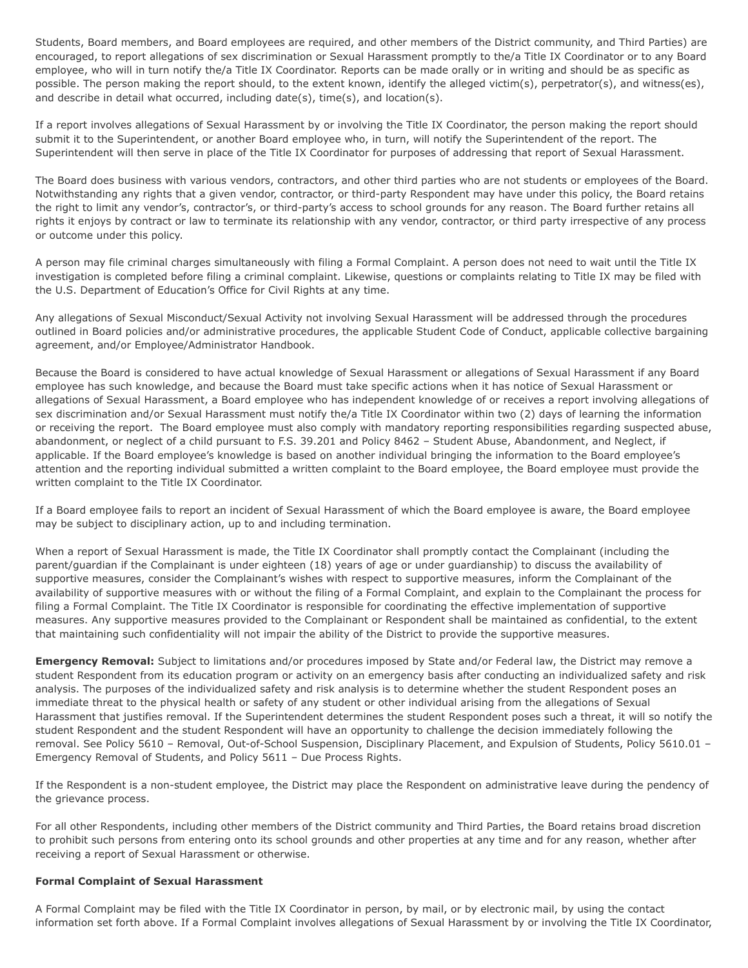Students, Board members, and Board employees are required, and other members of the District community, and Third Parties) are encouraged, to report allegations of sex discrimination or Sexual Harassment promptly to the/a Title IX Coordinator or to any Board employee, who will in turn notify the/a Title IX Coordinator. Reports can be made orally or in writing and should be as specific as possible. The person making the report should, to the extent known, identify the alleged victim(s), perpetrator(s), and witness(es), and describe in detail what occurred, including date(s), time(s), and location(s).

If a report involves allegations of Sexual Harassment by or involving the Title IX Coordinator, the person making the report should submit it to the Superintendent, or another Board employee who, in turn, will notify the Superintendent of the report. The Superintendent will then serve in place of the Title IX Coordinator for purposes of addressing that report of Sexual Harassment.

The Board does business with various vendors, contractors, and other third parties who are not students or employees of the Board. Notwithstanding any rights that a given vendor, contractor, or third-party Respondent may have under this policy, the Board retains the right to limit any vendor's, contractor's, or third-party's access to school grounds for any reason. The Board further retains all rights it enjoys by contract or law to terminate its relationship with any vendor, contractor, or third party irrespective of any process or outcome under this policy.

A person may file criminal charges simultaneously with filing a Formal Complaint. A person does not need to wait until the Title IX investigation is completed before filing a criminal complaint. Likewise, questions or complaints relating to Title IX may be filed with the U.S. Department of Education's Office for Civil Rights at any time.

Any allegations of Sexual Misconduct/Sexual Activity not involving Sexual Harassment will be addressed through the procedures outlined in Board policies and/or administrative procedures, the applicable Student Code of Conduct, applicable collective bargaining agreement, and/or Employee/Administrator Handbook.

Because the Board is considered to have actual knowledge of Sexual Harassment or allegations of Sexual Harassment if any Board employee has such knowledge, and because the Board must take specific actions when it has notice of Sexual Harassment or allegations of Sexual Harassment, a Board employee who has independent knowledge of or receives a report involving allegations of sex discrimination and/or Sexual Harassment must notify the/a Title IX Coordinator within two (2) days of learning the information or receiving the report. The Board employee must also comply with mandatory reporting responsibilities regarding suspected abuse, abandonment, or neglect of a child pursuant to F.S. 39.201 and Policy 8462 – Student Abuse, Abandonment, and Neglect, if applicable. If the Board employee's knowledge is based on another individual bringing the information to the Board employee's attention and the reporting individual submitted a written complaint to the Board employee, the Board employee must provide the written complaint to the Title IX Coordinator.

If a Board employee fails to report an incident of Sexual Harassment of which the Board employee is aware, the Board employee may be subject to disciplinary action, up to and including termination.

When a report of Sexual Harassment is made, the Title IX Coordinator shall promptly contact the Complainant (including the parent/guardian if the Complainant is under eighteen (18) years of age or under guardianship) to discuss the availability of supportive measures, consider the Complainant's wishes with respect to supportive measures, inform the Complainant of the availability of supportive measures with or without the filing of a Formal Complaint, and explain to the Complainant the process for filing a Formal Complaint. The Title IX Coordinator is responsible for coordinating the effective implementation of supportive measures. Any supportive measures provided to the Complainant or Respondent shall be maintained as confidential, to the extent that maintaining such confidentiality will not impair the ability of the District to provide the supportive measures.

**Emergency Removal:** Subject to limitations and/or procedures imposed by State and/or Federal law, the District may remove a student Respondent from its education program or activity on an emergency basis after conducting an individualized safety and risk analysis. The purposes of the individualized safety and risk analysis is to determine whether the student Respondent poses an immediate threat to the physical health or safety of any student or other individual arising from the allegations of Sexual Harassment that justifies removal. If the Superintendent determines the student Respondent poses such a threat, it will so notify the student Respondent and the student Respondent will have an opportunity to challenge the decision immediately following the removal. See Policy 5610 – Removal, Out-of-School Suspension, Disciplinary Placement, and Expulsion of Students, Policy 5610.01 – Emergency Removal of Students, and Policy 5611 – Due Process Rights.

If the Respondent is a non-student employee, the District may place the Respondent on administrative leave during the pendency of the grievance process.

For all other Respondents, including other members of the District community and Third Parties, the Board retains broad discretion to prohibit such persons from entering onto its school grounds and other properties at any time and for any reason, whether after receiving a report of Sexual Harassment or otherwise.

## **Formal Complaint of Sexual Harassment**

A Formal Complaint may be filed with the Title IX Coordinator in person, by mail, or by electronic mail, by using the contact information set forth above. If a Formal Complaint involves allegations of Sexual Harassment by or involving the Title IX Coordinator,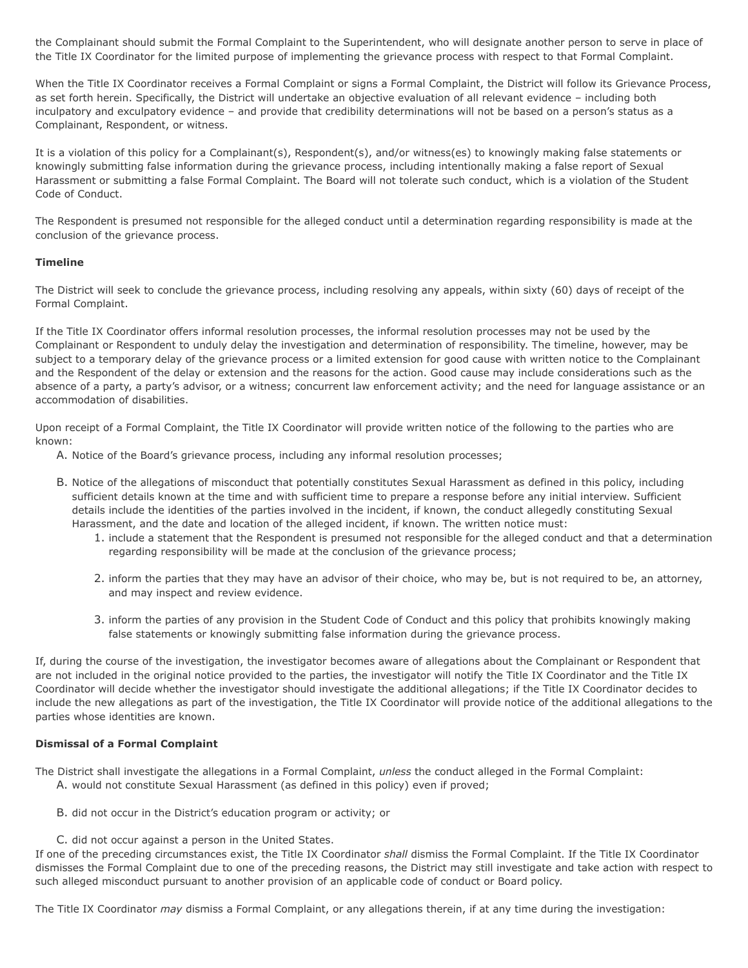the Complainant should submit the Formal Complaint to the Superintendent, who will designate another person to serve in place of the Title IX Coordinator for the limited purpose of implementing the grievance process with respect to that Formal Complaint.

When the Title IX Coordinator receives a Formal Complaint or signs a Formal Complaint, the District will follow its Grievance Process, as set forth herein. Specifically, the District will undertake an objective evaluation of all relevant evidence – including both inculpatory and exculpatory evidence – and provide that credibility determinations will not be based on a person's status as a Complainant, Respondent, or witness.

It is a violation of this policy for a Complainant(s), Respondent(s), and/or witness(es) to knowingly making false statements or knowingly submitting false information during the grievance process, including intentionally making a false report of Sexual Harassment or submitting a false Formal Complaint. The Board will not tolerate such conduct, which is a violation of the Student Code of Conduct.

The Respondent is presumed not responsible for the alleged conduct until a determination regarding responsibility is made at the conclusion of the grievance process.

## **Timeline**

The District will seek to conclude the grievance process, including resolving any appeals, within sixty (60) days of receipt of the Formal Complaint.

If the Title IX Coordinator offers informal resolution processes, the informal resolution processes may not be used by the Complainant or Respondent to unduly delay the investigation and determination of responsibility. The timeline, however, may be subject to a temporary delay of the grievance process or a limited extension for good cause with written notice to the Complainant and the Respondent of the delay or extension and the reasons for the action. Good cause may include considerations such as the absence of a party, a party's advisor, or a witness; concurrent law enforcement activity; and the need for language assistance or an accommodation of disabilities.

Upon receipt of a Formal Complaint, the Title IX Coordinator will provide written notice of the following to the parties who are known:

A. Notice of the Board's grievance process, including any informal resolution processes;

- B. Notice of the allegations of misconduct that potentially constitutes Sexual Harassment as defined in this policy, including sufficient details known at the time and with sufficient time to prepare a response before any initial interview. Sufficient details include the identities of the parties involved in the incident, if known, the conduct allegedly constituting Sexual Harassment, and the date and location of the alleged incident, if known. The written notice must:
	- 1. include a statement that the Respondent is presumed not responsible for the alleged conduct and that a determination regarding responsibility will be made at the conclusion of the grievance process;
	- 2. inform the parties that they may have an advisor of their choice, who may be, but is not required to be, an attorney, and may inspect and review evidence.
	- 3. inform the parties of any provision in the Student Code of Conduct and this policy that prohibits knowingly making false statements or knowingly submitting false information during the grievance process.

If, during the course of the investigation, the investigator becomes aware of allegations about the Complainant or Respondent that are not included in the original notice provided to the parties, the investigator will notify the Title IX Coordinator and the Title IX Coordinator will decide whether the investigator should investigate the additional allegations; if the Title IX Coordinator decides to include the new allegations as part of the investigation, the Title IX Coordinator will provide notice of the additional allegations to the parties whose identities are known.

## **Dismissal of a Formal Complaint**

The District shall investigate the allegations in a Formal Complaint, *unless* the conduct alleged in the Formal Complaint: A. would not constitute Sexual Harassment (as defined in this policy) even if proved;

- B. did not occur in the District's education program or activity; or
- C. did not occur against a person in the United States.

If one of the preceding circumstances exist, the Title IX Coordinator *shall* dismiss the Formal Complaint. If the Title IX Coordinator dismisses the Formal Complaint due to one of the preceding reasons, the District may still investigate and take action with respect to such alleged misconduct pursuant to another provision of an applicable code of conduct or Board policy.

The Title IX Coordinator *may* dismiss a Formal Complaint, or any allegations therein, if at any time during the investigation: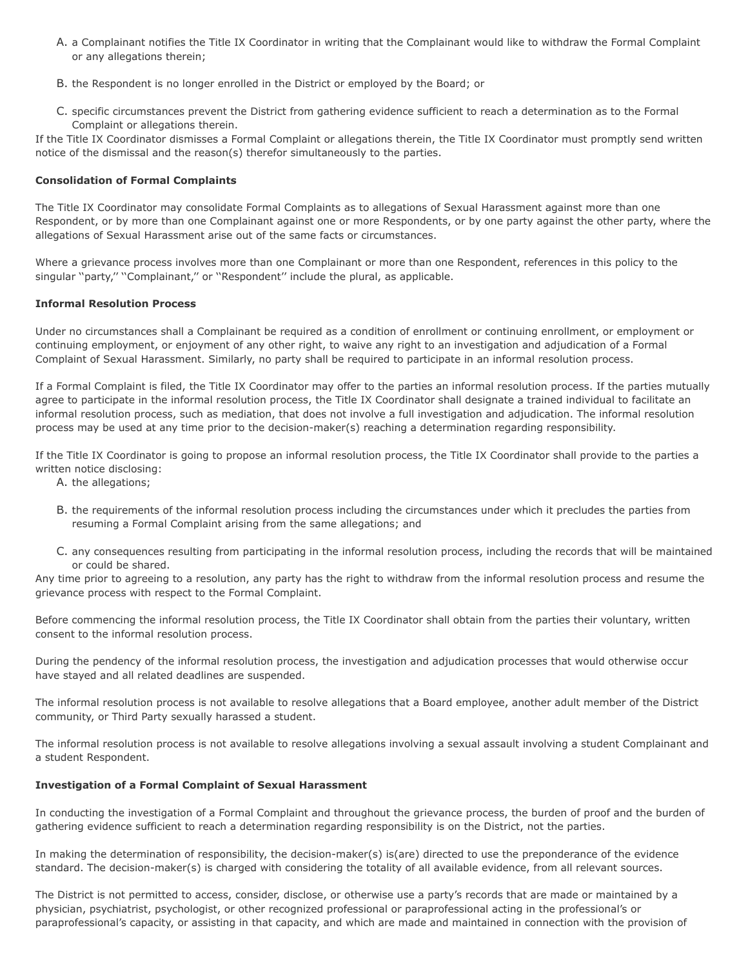- A. a Complainant notifies the Title IX Coordinator in writing that the Complainant would like to withdraw the Formal Complaint or any allegations therein;
- B. the Respondent is no longer enrolled in the District or employed by the Board; or
- C. specific circumstances prevent the District from gathering evidence sufficient to reach a determination as to the Formal Complaint or allegations therein.

If the Title IX Coordinator dismisses a Formal Complaint or allegations therein, the Title IX Coordinator must promptly send written notice of the dismissal and the reason(s) therefor simultaneously to the parties.

## **Consolidation of Formal Complaints**

The Title IX Coordinator may consolidate Formal Complaints as to allegations of Sexual Harassment against more than one Respondent, or by more than one Complainant against one or more Respondents, or by one party against the other party, where the allegations of Sexual Harassment arise out of the same facts or circumstances.

Where a grievance process involves more than one Complainant or more than one Respondent, references in this policy to the singular "party," "Complainant," or "Respondent" include the plural, as applicable.

# **Informal Resolution Process**

Under no circumstances shall a Complainant be required as a condition of enrollment or continuing enrollment, or employment or continuing employment, or enjoyment of any other right, to waive any right to an investigation and adjudication of a Formal Complaint of Sexual Harassment. Similarly, no party shall be required to participate in an informal resolution process.

If a Formal Complaint is filed, the Title IX Coordinator may offer to the parties an informal resolution process. If the parties mutually agree to participate in the informal resolution process, the Title IX Coordinator shall designate a trained individual to facilitate an informal resolution process, such as mediation, that does not involve a full investigation and adjudication. The informal resolution process may be used at any time prior to the decision-maker(s) reaching a determination regarding responsibility.

If the Title IX Coordinator is going to propose an informal resolution process, the Title IX Coordinator shall provide to the parties a written notice disclosing:

- A. the allegations;
- B. the requirements of the informal resolution process including the circumstances under which it precludes the parties from resuming a Formal Complaint arising from the same allegations; and
- C. any consequences resulting from participating in the informal resolution process, including the records that will be maintained or could be shared.

Any time prior to agreeing to a resolution, any party has the right to withdraw from the informal resolution process and resume the grievance process with respect to the Formal Complaint.

Before commencing the informal resolution process, the Title IX Coordinator shall obtain from the parties their voluntary, written consent to the informal resolution process.

During the pendency of the informal resolution process, the investigation and adjudication processes that would otherwise occur have stayed and all related deadlines are suspended.

The informal resolution process is not available to resolve allegations that a Board employee, another adult member of the District community, or Third Party sexually harassed a student.

The informal resolution process is not available to resolve allegations involving a sexual assault involving a student Complainant and a student Respondent.

## **Investigation of a Formal Complaint of Sexual Harassment**

In conducting the investigation of a Formal Complaint and throughout the grievance process, the burden of proof and the burden of gathering evidence sufficient to reach a determination regarding responsibility is on the District, not the parties.

In making the determination of responsibility, the decision-maker(s) is(are) directed to use the preponderance of the evidence standard. The decision-maker(s) is charged with considering the totality of all available evidence, from all relevant sources.

The District is not permitted to access, consider, disclose, or otherwise use a party's records that are made or maintained by a physician, psychiatrist, psychologist, or other recognized professional or paraprofessional acting in the professional's or paraprofessional's capacity, or assisting in that capacity, and which are made and maintained in connection with the provision of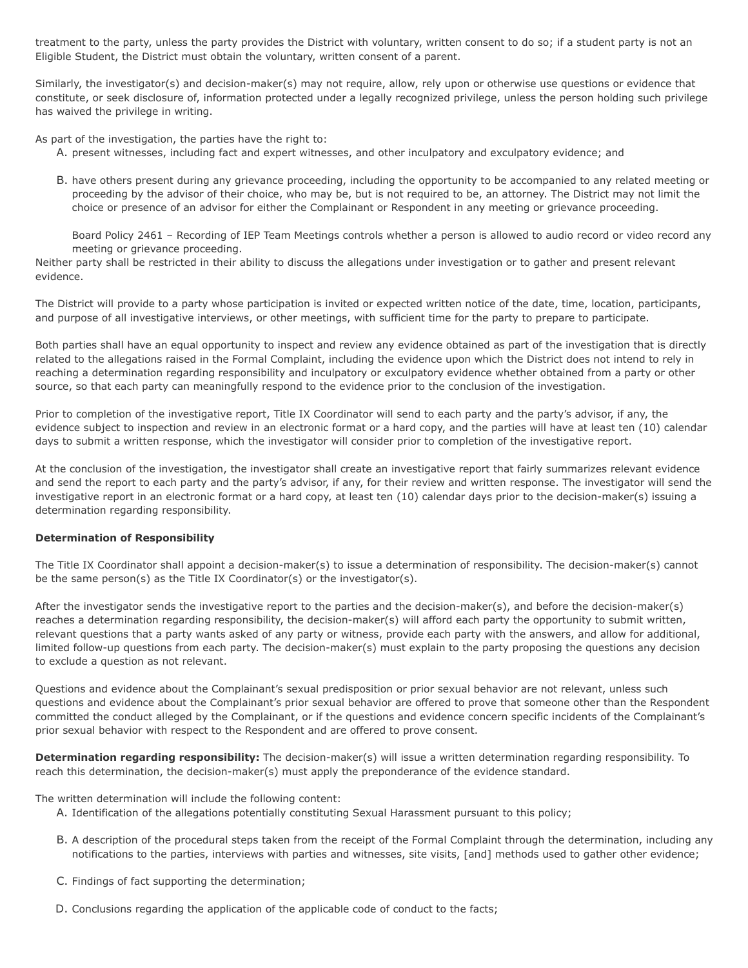treatment to the party, unless the party provides the District with voluntary, written consent to do so; if a student party is not an Eligible Student, the District must obtain the voluntary, written consent of a parent.

Similarly, the investigator(s) and decision-maker(s) may not require, allow, rely upon or otherwise use questions or evidence that constitute, or seek disclosure of, information protected under a legally recognized privilege, unless the person holding such privilege has waived the privilege in writing.

As part of the investigation, the parties have the right to:

A. present witnesses, including fact and expert witnesses, and other inculpatory and exculpatory evidence; and

B. have others present during any grievance proceeding, including the opportunity to be accompanied to any related meeting or proceeding by the advisor of their choice, who may be, but is not required to be, an attorney. The District may not limit the choice or presence of an advisor for either the Complainant or Respondent in any meeting or grievance proceeding.

Board Policy 2461 – Recording of IEP Team Meetings controls whether a person is allowed to audio record or video record any meeting or grievance proceeding.

Neither party shall be restricted in their ability to discuss the allegations under investigation or to gather and present relevant evidence.

The District will provide to a party whose participation is invited or expected written notice of the date, time, location, participants, and purpose of all investigative interviews, or other meetings, with sufficient time for the party to prepare to participate.

Both parties shall have an equal opportunity to inspect and review any evidence obtained as part of the investigation that is directly related to the allegations raised in the Formal Complaint, including the evidence upon which the District does not intend to rely in reaching a determination regarding responsibility and inculpatory or exculpatory evidence whether obtained from a party or other source, so that each party can meaningfully respond to the evidence prior to the conclusion of the investigation.

Prior to completion of the investigative report, Title IX Coordinator will send to each party and the party's advisor, if any, the evidence subject to inspection and review in an electronic format or a hard copy, and the parties will have at least ten (10) calendar days to submit a written response, which the investigator will consider prior to completion of the investigative report.

At the conclusion of the investigation, the investigator shall create an investigative report that fairly summarizes relevant evidence and send the report to each party and the party's advisor, if any, for their review and written response. The investigator will send the investigative report in an electronic format or a hard copy, at least ten (10) calendar days prior to the decision-maker(s) issuing a determination regarding responsibility.

## **Determination of Responsibility**

The Title IX Coordinator shall appoint a decision-maker(s) to issue a determination of responsibility. The decision-maker(s) cannot be the same person(s) as the Title IX Coordinator(s) or the investigator(s).

After the investigator sends the investigative report to the parties and the decision-maker(s), and before the decision-maker(s) reaches a determination regarding responsibility, the decision-maker(s) will afford each party the opportunity to submit written, relevant questions that a party wants asked of any party or witness, provide each party with the answers, and allow for additional, limited follow-up questions from each party. The decision-maker(s) must explain to the party proposing the questions any decision to exclude a question as not relevant.

Questions and evidence about the Complainant's sexual predisposition or prior sexual behavior are not relevant, unless such questions and evidence about the Complainant's prior sexual behavior are offered to prove that someone other than the Respondent committed the conduct alleged by the Complainant, or if the questions and evidence concern specific incidents of the Complainant's prior sexual behavior with respect to the Respondent and are offered to prove consent.

**Determination regarding responsibility:** The decision-maker(s) will issue a written determination regarding responsibility. To reach this determination, the decision-maker(s) must apply the preponderance of the evidence standard.

The written determination will include the following content:

- A. Identification of the allegations potentially constituting Sexual Harassment pursuant to this policy;
- B. A description of the procedural steps taken from the receipt of the Formal Complaint through the determination, including any notifications to the parties, interviews with parties and witnesses, site visits, [and] methods used to gather other evidence;
- C. Findings of fact supporting the determination;
- D. Conclusions regarding the application of the applicable code of conduct to the facts;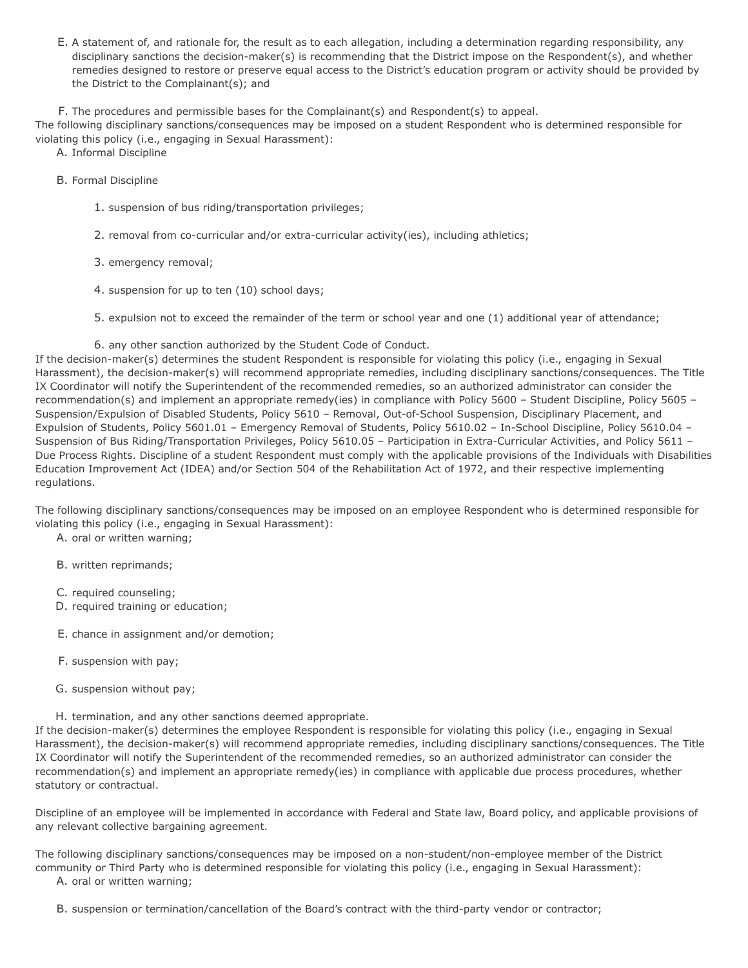E. A statement of, and rationale for, the result as to each allegation, including a determination regarding responsibility, any disciplinary sanctions the decision-maker(s) is recommending that the District impose on the Respondent(s), and whether remedies designed to restore or preserve equal access to the District's education program or activity should be provided by the District to the Complainant(s); and

F. The procedures and permissible bases for the Complainant(s) and Respondent(s) to appeal.

The following disciplinary sanctions/consequences may be imposed on a student Respondent who is determined responsible for violating this policy (i.e., engaging in Sexual Harassment):

- A. Informal Discipline
- B. Formal Discipline
	- 1. suspension of bus riding/transportation privileges;
	- 2. removal from co-curricular and/or extra-curricular activity(ies), including athletics;
	- 3. emergency removal;
	- 4. suspension for up to ten (10) school days;
	- 5. expulsion not to exceed the remainder of the term or school year and one (1) additional year of attendance;
	- 6. any other sanction authorized by the Student Code of Conduct.

If the decision-maker(s) determines the student Respondent is responsible for violating this policy (i.e., engaging in Sexual Harassment), the decision-maker(s) will recommend appropriate remedies, including disciplinary sanctions/consequences. The Title IX Coordinator will notify the Superintendent of the recommended remedies, so an authorized administrator can consider the recommendation(s) and implement an appropriate remedy(ies) in compliance with Policy 5600 – Student Discipline, Policy 5605 – Suspension/Expulsion of Disabled Students, Policy 5610 – Removal, Out-of-School Suspension, Disciplinary Placement, and Expulsion of Students, Policy 5601.01 – Emergency Removal of Students, Policy 5610.02 – In-School Discipline, Policy 5610.04 – Suspension of Bus Riding/Transportation Privileges, Policy 5610.05 – Participation in Extra-Curricular Activities, and Policy 5611 – Due Process Rights. Discipline of a student Respondent must comply with the applicable provisions of the Individuals with Disabilities Education Improvement Act (IDEA) and/or Section 504 of the Rehabilitation Act of 1972, and their respective implementing regulations.

The following disciplinary sanctions/consequences may be imposed on an employee Respondent who is determined responsible for violating this policy (i.e., engaging in Sexual Harassment):

A. oral or written warning;

- B. written reprimands;
- C. required counseling;
- D. required training or education;
- E. chance in assignment and/or demotion;
- F. suspension with pay;
- G. suspension without pay;
- H. termination, and any other sanctions deemed appropriate.

If the decision-maker(s) determines the employee Respondent is responsible for violating this policy (i.e., engaging in Sexual Harassment), the decision-maker(s) will recommend appropriate remedies, including disciplinary sanctions/consequences. The Title IX Coordinator will notify the Superintendent of the recommended remedies, so an authorized administrator can consider the recommendation(s) and implement an appropriate remedy(ies) in compliance with applicable due process procedures, whether statutory or contractual.

Discipline of an employee will be implemented in accordance with Federal and State law, Board policy, and applicable provisions of any relevant collective bargaining agreement.

The following disciplinary sanctions/consequences may be imposed on a non-student/non-employee member of the District community or Third Party who is determined responsible for violating this policy (i.e., engaging in Sexual Harassment):

A. oral or written warning;

B. suspension or termination/cancellation of the Board's contract with the third-party vendor or contractor;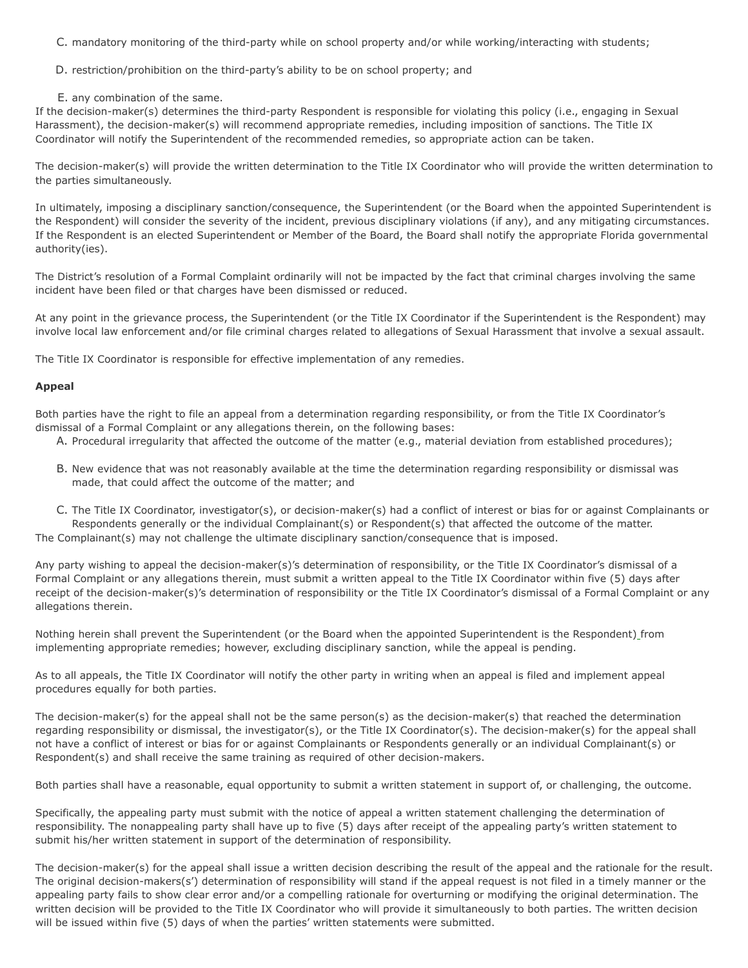C. mandatory monitoring of the third-party while on school property and/or while working/interacting with students;

D. restriction/prohibition on the third-party's ability to be on school property; and

E. any combination of the same.

If the decision-maker(s) determines the third-party Respondent is responsible for violating this policy (i.e., engaging in Sexual Harassment), the decision-maker(s) will recommend appropriate remedies, including imposition of sanctions. The Title IX Coordinator will notify the Superintendent of the recommended remedies, so appropriate action can be taken.

The decision-maker(s) will provide the written determination to the Title IX Coordinator who will provide the written determination to the parties simultaneously.

In ultimately, imposing a disciplinary sanction/consequence, the Superintendent (or the Board when the appointed Superintendent is the Respondent) will consider the severity of the incident, previous disciplinary violations (if any), and any mitigating circumstances. If the Respondent is an elected Superintendent or Member of the Board, the Board shall notify the appropriate Florida governmental authority(ies).

The District's resolution of a Formal Complaint ordinarily will not be impacted by the fact that criminal charges involving the same incident have been filed or that charges have been dismissed or reduced.

At any point in the grievance process, the Superintendent (or the Title IX Coordinator if the Superintendent is the Respondent) may involve local law enforcement and/or file criminal charges related to allegations of Sexual Harassment that involve a sexual assault.

The Title IX Coordinator is responsible for effective implementation of any remedies.

## **Appeal**

Both parties have the right to file an appeal from a determination regarding responsibility, or from the Title IX Coordinator's dismissal of a Formal Complaint or any allegations therein, on the following bases:

- A. Procedural irregularity that affected the outcome of the matter (e.g., material deviation from established procedures);
- B. New evidence that was not reasonably available at the time the determination regarding responsibility or dismissal was made, that could affect the outcome of the matter; and
- C. The Title IX Coordinator, investigator(s), or decision-maker(s) had a conflict of interest or bias for or against Complainants or Respondents generally or the individual Complainant(s) or Respondent(s) that affected the outcome of the matter. The Complainant(s) may not challenge the ultimate disciplinary sanction/consequence that is imposed.

Any party wishing to appeal the decision-maker(s)'s determination of responsibility, or the Title IX Coordinator's dismissal of a Formal Complaint or any allegations therein, must submit a written appeal to the Title IX Coordinator within five (5) days after receipt of the decision-maker(s)'s determination of responsibility or the Title IX Coordinator's dismissal of a Formal Complaint or any allegations therein.

Nothing herein shall prevent the Superintendent (or the Board when the appointed Superintendent is the Respondent) from implementing appropriate remedies; however, excluding disciplinary sanction, while the appeal is pending.

As to all appeals, the Title IX Coordinator will notify the other party in writing when an appeal is filed and implement appeal procedures equally for both parties.

The decision-maker(s) for the appeal shall not be the same person(s) as the decision-maker(s) that reached the determination regarding responsibility or dismissal, the investigator(s), or the Title IX Coordinator(s). The decision-maker(s) for the appeal shall not have a conflict of interest or bias for or against Complainants or Respondents generally or an individual Complainant(s) or Respondent(s) and shall receive the same training as required of other decision-makers.

Both parties shall have a reasonable, equal opportunity to submit a written statement in support of, or challenging, the outcome.

Specifically, the appealing party must submit with the notice of appeal a written statement challenging the determination of responsibility. The nonappealing party shall have up to five (5) days after receipt of the appealing party's written statement to submit his/her written statement in support of the determination of responsibility.

The decision-maker(s) for the appeal shall issue a written decision describing the result of the appeal and the rationale for the result. The original decision-makers(s') determination of responsibility will stand if the appeal request is not filed in a timely manner or the appealing party fails to show clear error and/or a compelling rationale for overturning or modifying the original determination. The written decision will be provided to the Title IX Coordinator who will provide it simultaneously to both parties. The written decision will be issued within five (5) days of when the parties' written statements were submitted.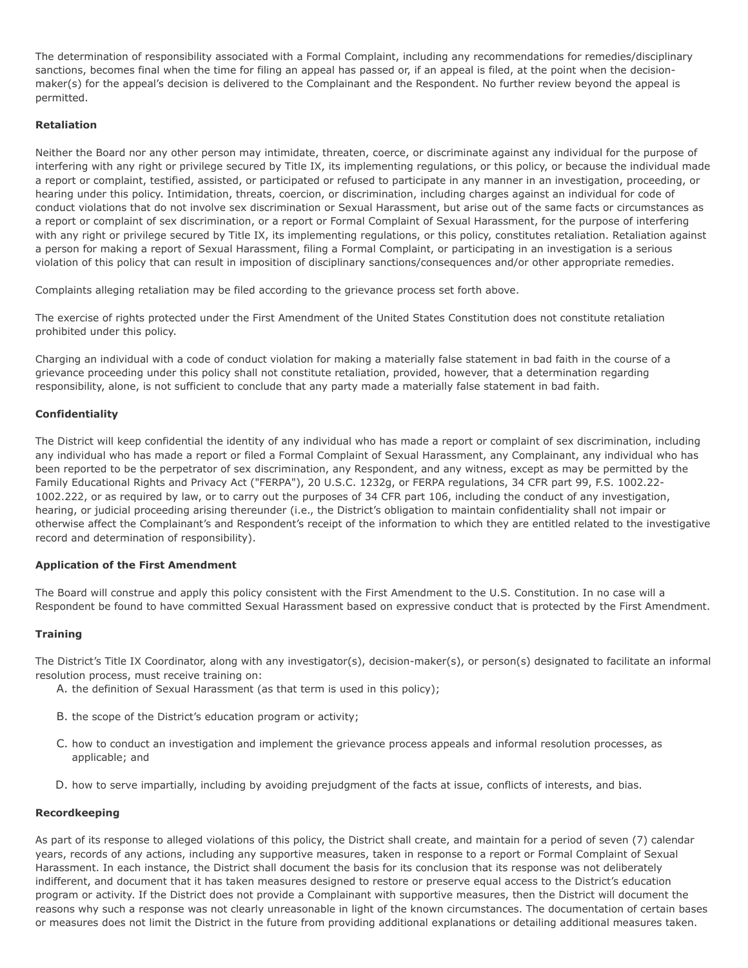The determination of responsibility associated with a Formal Complaint, including any recommendations for remedies/disciplinary sanctions, becomes final when the time for filing an appeal has passed or, if an appeal is filed, at the point when the decisionmaker(s) for the appeal's decision is delivered to the Complainant and the Respondent. No further review beyond the appeal is permitted.

# **Retaliation**

Neither the Board nor any other person may intimidate, threaten, coerce, or discriminate against any individual for the purpose of interfering with any right or privilege secured by Title IX, its implementing regulations, or this policy, or because the individual made a report or complaint, testified, assisted, or participated or refused to participate in any manner in an investigation, proceeding, or hearing under this policy. Intimidation, threats, coercion, or discrimination, including charges against an individual for code of conduct violations that do not involve sex discrimination or Sexual Harassment, but arise out of the same facts or circumstances as a report or complaint of sex discrimination, or a report or Formal Complaint of Sexual Harassment, for the purpose of interfering with any right or privilege secured by Title IX, its implementing regulations, or this policy, constitutes retaliation. Retaliation against a person for making a report of Sexual Harassment, filing a Formal Complaint, or participating in an investigation is a serious violation of this policy that can result in imposition of disciplinary sanctions/consequences and/or other appropriate remedies.

Complaints alleging retaliation may be filed according to the grievance process set forth above.

The exercise of rights protected under the First Amendment of the United States Constitution does not constitute retaliation prohibited under this policy.

Charging an individual with a code of conduct violation for making a materially false statement in bad faith in the course of a grievance proceeding under this policy shall not constitute retaliation, provided, however, that a determination regarding responsibility, alone, is not sufficient to conclude that any party made a materially false statement in bad faith.

# **Confidentiality**

The District will keep confidential the identity of any individual who has made a report or complaint of sex discrimination, including any individual who has made a report or filed a Formal Complaint of Sexual Harassment, any Complainant, any individual who has been reported to be the perpetrator of sex discrimination, any Respondent, and any witness, except as may be permitted by the Family Educational Rights and Privacy Act ("FERPA"), 20 U.S.C. 1232g, or FERPA regulations, 34 CFR part 99, F.S. 1002.22- 1002.222, or as required by law, or to carry out the purposes of 34 CFR part 106, including the conduct of any investigation, hearing, or judicial proceeding arising thereunder (i.e., the District's obligation to maintain confidentiality shall not impair or otherwise affect the Complainant's and Respondent's receipt of the information to which they are entitled related to the investigative record and determination of responsibility).

## **Application of the First Amendment**

The Board will construe and apply this policy consistent with the First Amendment to the U.S. Constitution. In no case will a Respondent be found to have committed Sexual Harassment based on expressive conduct that is protected by the First Amendment.

## **Training**

The District's Title IX Coordinator, along with any investigator(s), decision-maker(s), or person(s) designated to facilitate an informal resolution process, must receive training on:

- A. the definition of Sexual Harassment (as that term is used in this policy);
- B. the scope of the District's education program or activity;
- C. how to conduct an investigation and implement the grievance process appeals and informal resolution processes, as applicable; and
- D. how to serve impartially, including by avoiding prejudgment of the facts at issue, conflicts of interests, and bias.

## **Recordkeeping**

As part of its response to alleged violations of this policy, the District shall create, and maintain for a period of seven (7) calendar years, records of any actions, including any supportive measures, taken in response to a report or Formal Complaint of Sexual Harassment. In each instance, the District shall document the basis for its conclusion that its response was not deliberately indifferent, and document that it has taken measures designed to restore or preserve equal access to the District's education program or activity. If the District does not provide a Complainant with supportive measures, then the District will document the reasons why such a response was not clearly unreasonable in light of the known circumstances. The documentation of certain bases or measures does not limit the District in the future from providing additional explanations or detailing additional measures taken.